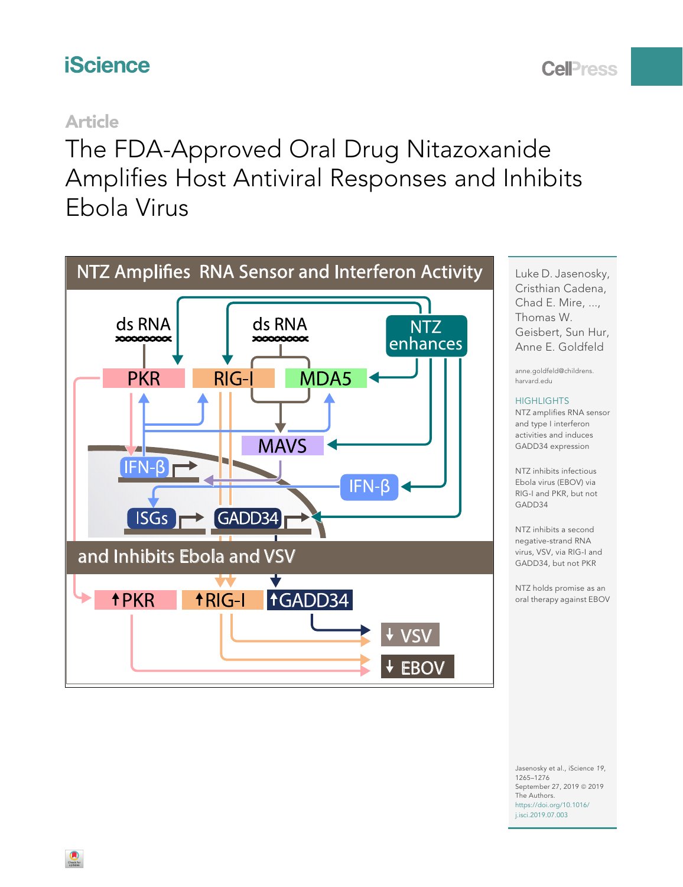### Article

The FDA-Approved Oral Drug Nitazoxanide Amplifies Host Antiviral Responses and Inhibits Ebola Virus



Luke D. Jasenosky, Cristhian Cadena, Chad E. Mire, ..., Thomas W. Geisbert, Sun Hur, Anne E. Goldfeld

**CelPress** 

[anne.goldfeld@childrens.](mailto:anne.goldfeld@childrens.harvard.edu) [harvard.edu](mailto:anne.goldfeld@childrens.harvard.edu)

#### **HIGHLIGHTS**

NTZ amplifies RNA sensor and type I interferon activities and induces GADD34 expression

NTZ inhibits infectious Ebola virus (EBOV) via RIG-I and PKR, but not GADD34

NTZ inhibits a second negative-strand RNA virus, VSV, via RIG-I and GADD34, but not PKR

NTZ holds promise as an oral therapy against EBOV

Jasenosky et al., iScience 19, 1265–1276 September 27, 2019 @ 2019 The Authors. [https://doi.org/10.1016/](https://doi.org/10.1016/j.isci.2019.07.003) [j.isci.2019.07.003](https://doi.org/10.1016/j.isci.2019.07.003)

 $\begin{array}{c} \hline \end{array}$  Check for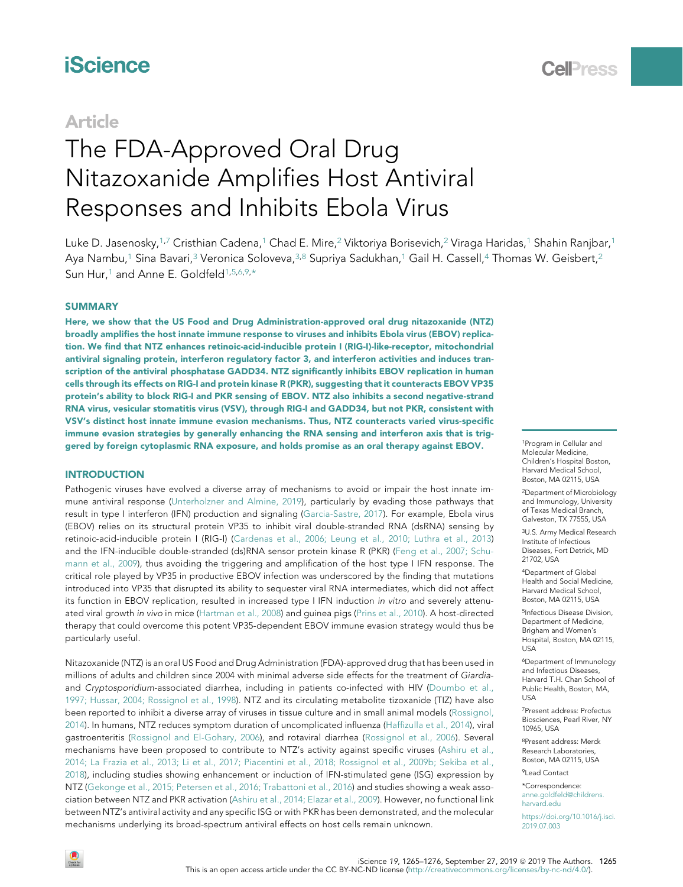### Article

# The FDA-Approved Oral Drug Nitazoxanide Amplifies Host Antiviral Responses and Inhibits Ebola Virus

Luke D. Jasenosky,<sup>[1,](#page-1-0)[7](#page-1-1)</sup> Cristhian Cadena,<sup>[1](#page-1-0)</sup> Chad E. Mire,<sup>[2](#page-1-2)</sup> Viktoriya Borisevich,<sup>2</sup> Viraga Haridas,<sup>1</sup> Shahin Ranjbar,<sup>1</sup> Aya Nambu,<sup>[1](#page-1-0)</sup> Sina Bavari,<sup>[3](#page-1-3)</sup> Veronica Soloveva,<sup>[3,](#page-1-3)[8](#page-1-4)</sup> Supriya Sadukhan,<sup>1</sup> Gail H. Cassell,<sup>[4](#page-1-5)</sup> Thomas W. Geisbert,<sup>[2](#page-1-2)</sup> Sun Hur,<sup>[1](#page-1-0)</sup> and Anne E. Goldfeld<sup>[1,](#page-1-0)[5](#page-1-6)[,6](#page-1-7)[,9](#page-1-8),[\\*](#page-1-9)</sup>

#### **SUMMARY**

Here, we show that the US Food and Drug Administration-approved oral drug nitazoxanide (NTZ) broadly amplifies the host innate immune response to viruses and inhibits Ebola virus (EBOV) replication. We find that NTZ enhances retinoic-acid-inducible protein I (RIG-I)-like-receptor, mitochondrial antiviral signaling protein, interferon regulatory factor 3, and interferon activities and induces transcription of the antiviral phosphatase GADD34. NTZ significantly inhibits EBOV replication in human cells through its effects on RIG-I and protein kinase R (PKR), suggesting that it counteracts EBOV VP35 protein's ability to block RIG-I and PKR sensing of EBOV. NTZ also inhibits a second negative-strand RNA virus, vesicular stomatitis virus (VSV), through RIG-I and GADD34, but not PKR, consistent with VSV's distinct host innate immune evasion mechanisms. Thus, NTZ counteracts varied virus-specific immune evasion strategies by generally enhancing the RNA sensing and interferon axis that is triggered by foreign cytoplasmic RNA exposure, and holds promise as an oral therapy against EBOV.

#### **INTRODUCTION**

Pathogenic viruses have evolved a diverse array of mechanisms to avoid or impair the host innate immune antiviral response [\(Unterholzner and Almine, 2019](#page-12-0)), particularly by evading those pathways that result in type I interferon (IFN) production and signaling [\(Garcia-Sastre, 2017\)](#page-11-0). For example, Ebola virus (EBOV) relies on its structural protein VP35 to inhibit viral double-stranded RNA (dsRNA) sensing by retinoic-acid-inducible protein I (RIG-I) ([Cardenas et al., 2006; Leung et al., 2010; Luthra et al., 2013](#page-10-0)) and the IFN-inducible double-stranded (ds)RNA sensor protein kinase R (PKR) [\(Feng et al., 2007; Schu](#page-11-1)[mann et al., 2009](#page-11-1)), thus avoiding the triggering and amplification of the host type I IFN response. The critical role played by VP35 in productive EBOV infection was underscored by the finding that mutations introduced into VP35 that disrupted its ability to sequester viral RNA intermediates, which did not affect its function in EBOV replication, resulted in increased type I IFN induction in vitro and severely attenuated viral growth in vivo in mice ([Hartman et al., 2008](#page-11-2)) and guinea pigs ([Prins et al., 2010](#page-11-3)). A host-directed therapy that could overcome this potent VP35-dependent EBOV immune evasion strategy would thus be particularly useful.

Nitazoxanide (NTZ) is an oral US Food and Drug Administration (FDA)-approved drug that has been used in millions of adults and children since 2004 with minimal adverse side effects for the treatment of Giardia-and Cryptosporidium-associated diarrhea, including in patients co-infected with HIV [\(Doumbo et al.,](#page-11-4) [1997; Hussar, 2004; Rossignol et al., 1998\)](#page-11-4). NTZ and its circulating metabolite tizoxanide (TIZ) have also been reported to inhibit a diverse array of viruses in tissue culture and in small animal models ([Rossignol,](#page-11-5) [2014\)](#page-11-5). In humans, NTZ reduces symptom duration of uncomplicated influenza ([Haffizulla et al., 2014](#page-11-6)), viral gastroenteritis ([Rossignol and El-Gohary, 2006\)](#page-11-7), and rotaviral diarrhea ([Rossignol et al., 2006](#page-11-8)). Several mechanisms have been proposed to contribute to NTZ's activity against specific viruses [\(Ashiru et al.,](#page-10-1) [2014; La Frazia et al., 2013; Li et al., 2017; Piacentini et al., 2018; Rossignol et al., 2009b; Sekiba et al.,](#page-10-1) [2018\)](#page-10-1), including studies showing enhancement or induction of IFN-stimulated gene (ISG) expression by NTZ [\(Gekonge et al., 2015; Petersen et al., 2016; Trabattoni et al., 2016](#page-11-9)) and studies showing a weak association between NTZ and PKR activation ([Ashiru et al., 2014; Elazar et al., 2009](#page-10-1)). However, no functional link between NTZ's antiviral activity and any specific ISG or with PKR has been demonstrated, and the molecular mechanisms underlying its broad-spectrum antiviral effects on host cells remain unknown.

<span id="page-1-0"></span>1Program in Cellular and Molecular Medicine, Children's Hospital Boston, Harvard Medical School, Boston, MA 02115, USA

<span id="page-1-2"></span>2Department of Microbiology and Immunology, University of Texas Medical Branch, Galveston, TX 77555, USA

<span id="page-1-3"></span>3U.S. Army Medical Research Institute of Infectious Diseases, Fort Detrick, MD 21702, USA

<span id="page-1-5"></span>4Department of Global Health and Social Medicine, Harvard Medical School, Boston, MA 02115, USA

<span id="page-1-6"></span>5Infectious Disease Division, Department of Medicine, Brigham and Women's Hospital, Boston, MA 02115, USA

<span id="page-1-7"></span>6Department of Immunology and Infectious Diseases, Harvard T.H. Chan School of Public Health, Boston, MA, USA

<span id="page-1-1"></span>7Present address: Profectus Biosciences, Pearl River, NY 10965, USA

<span id="page-1-4"></span>8Present address: Merck Research Laboratories, Boston, MA 02115, USA 9Lead Contact

<span id="page-1-9"></span><span id="page-1-8"></span>\*Correspondence: [anne.goldfeld@childrens.](mailto:anne.goldfeld@childrens.harvard.edu) [harvard.edu](mailto:anne.goldfeld@childrens.harvard.edu)

[https://doi.org/10.1016/j.isci.](https://doi.org/10.1016/j.isci.2019.07.003) [2019.07.003](https://doi.org/10.1016/j.isci.2019.07.003)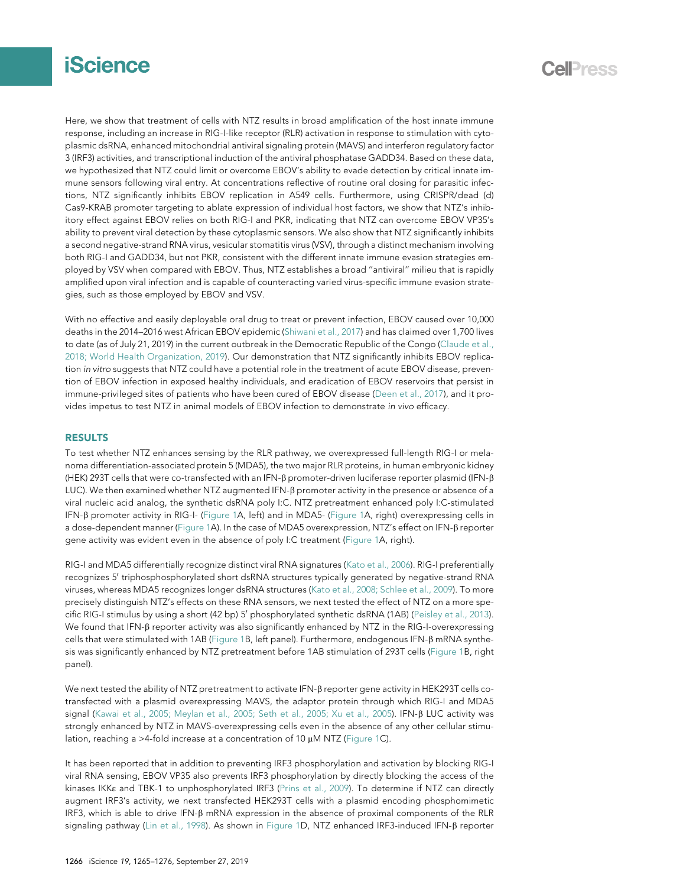

Here, we show that treatment of cells with NTZ results in broad amplification of the host innate immune response, including an increase in RIG-I-like receptor (RLR) activation in response to stimulation with cytoplasmic dsRNA, enhanced mitochondrial antiviral signaling protein (MAVS) and interferon regulatory factor 3 (IRF3) activities, and transcriptional induction of the antiviral phosphatase GADD34. Based on these data, we hypothesized that NTZ could limit or overcome EBOV's ability to evade detection by critical innate immune sensors following viral entry. At concentrations reflective of routine oral dosing for parasitic infections, NTZ significantly inhibits EBOV replication in A549 cells. Furthermore, using CRISPR/dead (d) Cas9-KRAB promoter targeting to ablate expression of individual host factors, we show that NTZ's inhibitory effect against EBOV relies on both RIG-I and PKR, indicating that NTZ can overcome EBOV VP35's ability to prevent viral detection by these cytoplasmic sensors. We also show that NTZ significantly inhibits a second negative-strand RNA virus, vesicular stomatitis virus (VSV), through a distinct mechanism involving both RIG-I and GADD34, but not PKR, consistent with the different innate immune evasion strategies employed by VSV when compared with EBOV. Thus, NTZ establishes a broad ''antiviral'' milieu that is rapidly amplified upon viral infection and is capable of counteracting varied virus-specific immune evasion strategies, such as those employed by EBOV and VSV.

With no effective and easily deployable oral drug to treat or prevent infection, EBOV caused over 10,000 deaths in the 2014–2016 west African EBOV epidemic [\(Shiwani et al., 2017\)](#page-12-1) and has claimed over 1,700 lives to date (as of July 21, 2019) in the current outbreak in the Democratic Republic of the Congo ([Claude et al.,](#page-10-2) [2018; World Health Organization, 2019\)](#page-10-2). Our demonstration that NTZ significantly inhibits EBOV replication in vitro suggests that NTZ could have a potential role in the treatment of acute EBOV disease, prevention of EBOV infection in exposed healthy individuals, and eradication of EBOV reservoirs that persist in immune-privileged sites of patients who have been cured of EBOV disease [\(Deen et al., 2017\)](#page-11-10), and it provides impetus to test NTZ in animal models of EBOV infection to demonstrate in vivo efficacy.

#### RESULTS

To test whether NTZ enhances sensing by the RLR pathway, we overexpressed full-length RIG-I or melanoma differentiation-associated protein 5 (MDA5), the two major RLR proteins, in human embryonic kidney (HEK) 293T cells that were co-transfected with an IFN- $\beta$  promoter-driven luciferase reporter plasmid (IFN- $\beta$ LUC). We then examined whether NTZ augmented IFN- $\beta$  promoter activity in the presence or absence of a viral nucleic acid analog, the synthetic dsRNA poly I:C. NTZ pretreatment enhanced poly I:C-stimulated IFN- $\beta$  promoter activity in RIG-I- ([Figure 1A](#page-3-0), left) and in MDA5- (Figure 1A, right) overexpressing cells in a dose-dependent manner ([Figure 1](#page-3-0)A). In the case of MDA5 overexpression, NTZ's effect on IFN- $\beta$  reporter gene activity was evident even in the absence of poly I:C treatment [\(Figure 1](#page-3-0)A, right).

RIG-I and MDA5 differentially recognize distinct viral RNA signatures ([Kato et al., 2006\)](#page-11-11). RIG-I preferentially recognizes 5' triphosphosphorylated short dsRNA structures typically generated by negative-strand RNA viruses, whereas MDA5 recognizes longer dsRNA structures ([Kato et al., 2008; Schlee et al., 2009](#page-11-12)). To more precisely distinguish NTZ's effects on these RNA sensors, we next tested the effect of NTZ on a more spe-cific RIG-I stimulus by using a short (42 bp) 5' phosphorylated synthetic dsRNA (1AB) ([Peisley et al., 2013](#page-11-13)). We found that IFN-B reporter activity was also significantly enhanced by NTZ in the RIG-I-overexpressing cells that were stimulated with 1AB ([Figure 1](#page-3-0)B, left panel). Furthermore, endogenous IFN- $\beta$  mRNA synthesis was significantly enhanced by NTZ pretreatment before 1AB stimulation of 293T cells [\(Figure 1B](#page-3-0), right panel).

We next tested the ability of NTZ pretreatment to activate IFN- $\beta$  reporter gene activity in HEK293T cells cotransfected with a plasmid overexpressing MAVS, the adaptor protein through which RIG-I and MDA5 signal ([Kawai et al., 2005; Meylan et al., 2005; Seth et al., 2005; Xu et al., 2005](#page-11-14)). IFN-B LUC activity was strongly enhanced by NTZ in MAVS-overexpressing cells even in the absence of any other cellular stimulation, reaching a >4-fold increase at a concentration of 10  $\mu$ M NTZ ([Figure 1C](#page-3-0)).

It has been reported that in addition to preventing IRF3 phosphorylation and activation by blocking RIG-I viral RNA sensing, EBOV VP35 also prevents IRF3 phosphorylation by directly blocking the access of the kinases IKKε and TBK-1 to unphosphorylated IRF3 [\(Prins et al., 2009](#page-11-15)). To determine if NTZ can directly augment IRF3's activity, we next transfected HEK293T cells with a plasmid encoding phosphomimetic IRF3, which is able to drive IFN-b mRNA expression in the absence of proximal components of the RLR signaling pathway [\(Lin et al., 1998\)](#page-11-16). As shown in [Figure 1D](#page-3-0), NTZ enhanced IRF3-induced IFN- $\beta$  reporter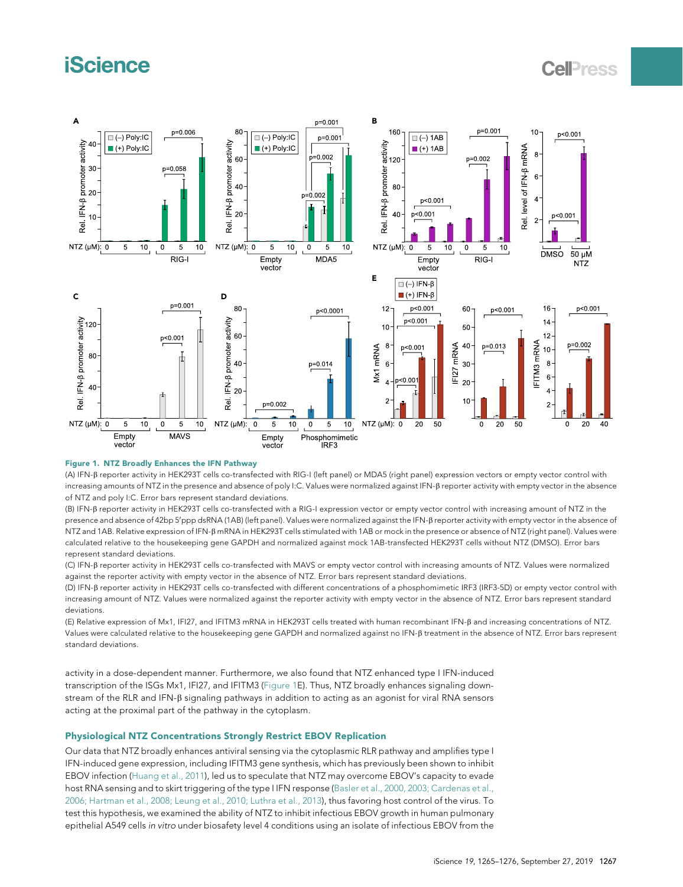### **Cell**<sup>ress</sup>

<span id="page-3-0"></span>

#### Figure 1. NTZ Broadly Enhances the IFN Pathway

(A) IFN-b reporter activity in HEK293T cells co-transfected with RIG-I (left panel) or MDA5 (right panel) expression vectors or empty vector control with increasing amounts of NTZ in the presence and absence of poly I:C. Values were normalized against IFN-B reporter activity with empty vector in the absence of NTZ and poly I:C. Error bars represent standard deviations.

(B) IFN-b reporter activity in HEK293T cells co-transfected with a RIG-I expression vector or empty vector control with increasing amount of NTZ in the presence and absence of 42bp 5′ppp dsRNA (1AB) (left panel). Values were normalized against the IFN-ß reporter activity with empty vector in the absence of NTZ and 1AB. Relative expression of IFN-β mRNA in HEK293T cells stimulated with 1AB or mock in the presence or absence of NTZ (right panel). Values were calculated relative to the housekeeping gene GAPDH and normalized against mock 1AB-transfected HEK293T cells without NTZ (DMSO). Error bars represent standard deviations.

(C) IFN-b reporter activity in HEK293T cells co-transfected with MAVS or empty vector control with increasing amounts of NTZ. Values were normalized against the reporter activity with empty vector in the absence of NTZ. Error bars represent standard deviations.

(D) IFN-b reporter activity in HEK293T cells co-transfected with different concentrations of a phosphomimetic IRF3 (IRF3-5D) or empty vector control with increasing amount of NTZ. Values were normalized against the reporter activity with empty vector in the absence of NTZ. Error bars represent standard deviations.

(E) Relative expression of Mx1, IFI27, and IFITM3 mRNA in HEK293T cells treated with human recombinant IFN-b and increasing concentrations of NTZ. Values were calculated relative to the housekeeping gene GAPDH and normalized against no IFN-B treatment in the absence of NTZ. Error bars represent standard deviations.

activity in a dose-dependent manner. Furthermore, we also found that NTZ enhanced type I IFN-induced transcription of the ISGs Mx1, IFI27, and IFITM3 ([Figure 1E](#page-3-0)). Thus, NTZ broadly enhances signaling downstream of the RLR and IFN- $\beta$  signaling pathways in addition to acting as an agonist for viral RNA sensors acting at the proximal part of the pathway in the cytoplasm.

#### Physiological NTZ Concentrations Strongly Restrict EBOV Replication

Our data that NTZ broadly enhances antiviral sensing via the cytoplasmic RLR pathway and amplifies type I IFN-induced gene expression, including IFITM3 gene synthesis, which has previously been shown to inhibit EBOV infection [\(Huang et al., 2011\)](#page-11-17), led us to speculate that NTZ may overcome EBOV's capacity to evade host RNA sensing and to skirt triggering of the type I IFN response [\(Basler et al., 2000, 2003; Cardenas et al.,](#page-10-3) [2006; Hartman et al., 2008; Leung et al., 2010; Luthra et al., 2013](#page-10-3)), thus favoring host control of the virus. To test this hypothesis, we examined the ability of NTZ to inhibit infectious EBOV growth in human pulmonary epithelial A549 cells in vitro under biosafety level 4 conditions using an isolate of infectious EBOV from the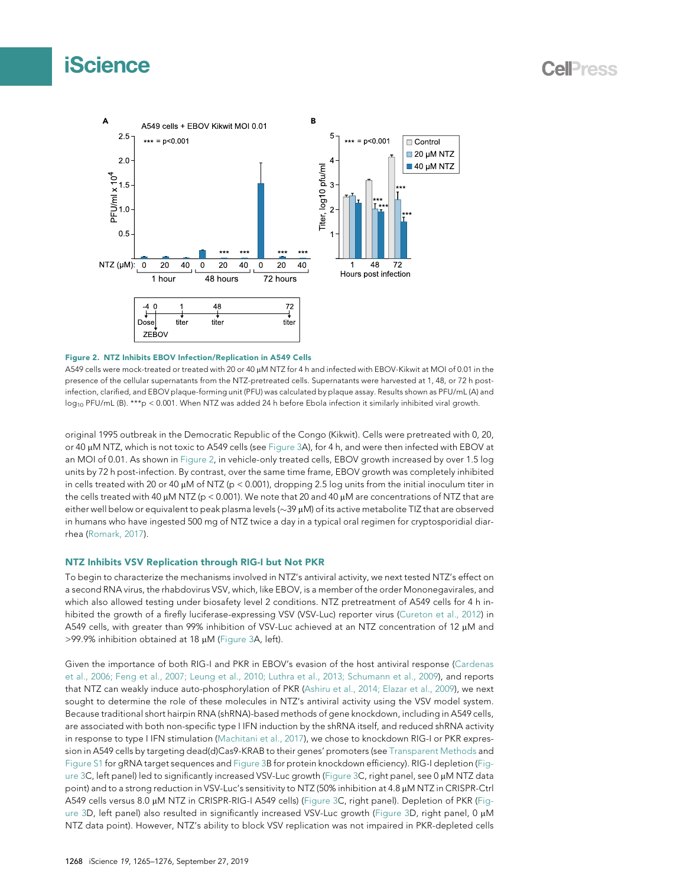### **CelPress**

<span id="page-4-0"></span>

#### Figure 2. NTZ Inhibits EBOV Infection/Replication in A549 Cells

**iScience** 

A549 cells were mock-treated or treated with 20 or 40 µM NTZ for 4 h and infected with EBOV-Kikwit at MOI of 0.01 in the presence of the cellular supernatants from the NTZ-pretreated cells. Supernatants were harvested at 1, 48, or 72 h postinfection, clarified, and EBOV plaque-forming unit (PFU) was calculated by plaque assay. Results shown as PFU/mL (A) and log<sub>10</sub> PFU/mL (B). \*\*\*p < 0.001. When NTZ was added 24 h before Ebola infection it similarly inhibited viral growth.

original 1995 outbreak in the Democratic Republic of the Congo (Kikwit). Cells were pretreated with 0, 20, or 40 µM NTZ, which is not toxic to A549 cells (see [Figure 3A](#page-5-0)), for 4 h, and were then infected with EBOV at an MOI of 0.01. As shown in [Figure 2,](#page-4-0) in vehicle-only treated cells, EBOV growth increased by over 1.5 log units by 72 h post-infection. By contrast, over the same time frame, EBOV growth was completely inhibited in cells treated with 20 or 40  $\mu$ M of NTZ (p < 0.001), dropping 2.5 log units from the initial inoculum titer in the cells treated with 40  $\mu$ M NTZ (p < 0.001). We note that 20 and 40  $\mu$ M are concentrations of NTZ that are either well below or equivalent to peak plasma levels ( $\sim$ 39  $\mu$ M) of its active metabolite TIZ that are observed in humans who have ingested 500 mg of NTZ twice a day in a typical oral regimen for cryptosporidial diarrhea ([Romark, 2017](#page-11-18)).

#### NTZ Inhibits VSV Replication through RIG-I but Not PKR

To begin to characterize the mechanisms involved in NTZ's antiviral activity, we next tested NTZ's effect on a second RNA virus, the rhabdovirus VSV, which, like EBOV, is a member of the order Mononegavirales, and which also allowed testing under biosafety level 2 conditions. NTZ pretreatment of A549 cells for 4 h inhibited the growth of a firefly luciferase-expressing VSV (VSV-Luc) reporter virus ([Cureton et al., 2012](#page-10-4)) in A549 cells, with greater than 99% inhibition of VSV-Luc achieved at an NTZ concentration of 12 µM and  $>$ 99.9% inhibition obtained at 18  $\mu$ M [\(Figure 3](#page-5-0)A, left).

Given the importance of both RIG-I and PKR in EBOV's evasion of the host antiviral response ([Cardenas](#page-10-0) et al., 2006; Feng et al., 2007; Leung et al., [2010; Luthra et al., 2013; Schumann et al., 2009](#page-10-0)), and reports that NTZ can weakly induce auto-phosphorylation of PKR ([Ashiru et al., 2014; Elazar et al., 2009](#page-10-1)), we next sought to determine the role of these molecules in NTZ's antiviral activity using the VSV model system. Because traditional short hairpin RNA (shRNA)-based methods of gene knockdown, including in A549 cells, are associated with both non-specific type I IFN induction by the shRNA itself, and reduced shRNA activity in response to type I IFN stimulation [\(Machitani et al., 2017](#page-11-19)), we chose to knockdown RIG-I or PKR expression in A549 cells by targeting dead(d)Cas9-KRAB to their genes' promoters (see [Transparent Methods](#page-10-5) and [Figure S1](#page-10-5) for gRNA target sequences and [Figure 3](#page-5-0)B for protein knockdown efficiency). RIG-I depletion ([Fig](#page-5-0)[ure 3](#page-5-0)C, left panel) led to significantly increased VSV-Luc growth [\(Figure 3](#page-5-0)C, right panel, see 0 µM NTZ data point) and to a strong reduction in VSV-Luc's sensitivity to NTZ (50% inhibition at 4.8 µM NTZ in CRISPR-Ctrl A549 cells versus 8.0 µM NTZ in CRISPR-RIG-I A549 cells) ([Figure 3](#page-5-0)C, right panel). Depletion of PKR ([Fig](#page-5-0)[ure 3](#page-5-0)D, left panel) also resulted in significantly increased VSV-Luc growth [\(Figure 3D](#page-5-0), right panel, 0 µM NTZ data point). However, NTZ's ability to block VSV replication was not impaired in PKR-depleted cells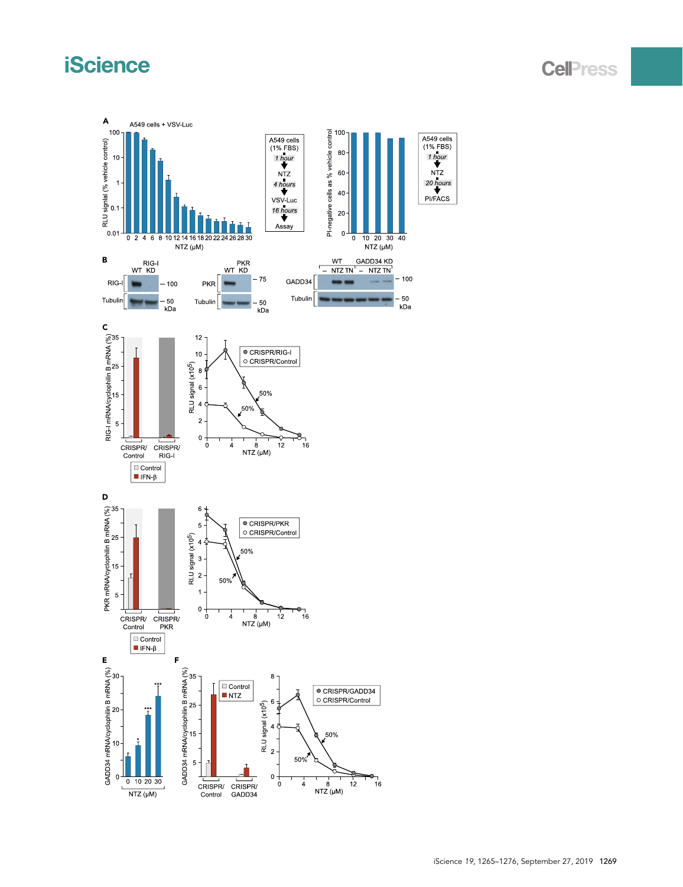<span id="page-5-0"></span>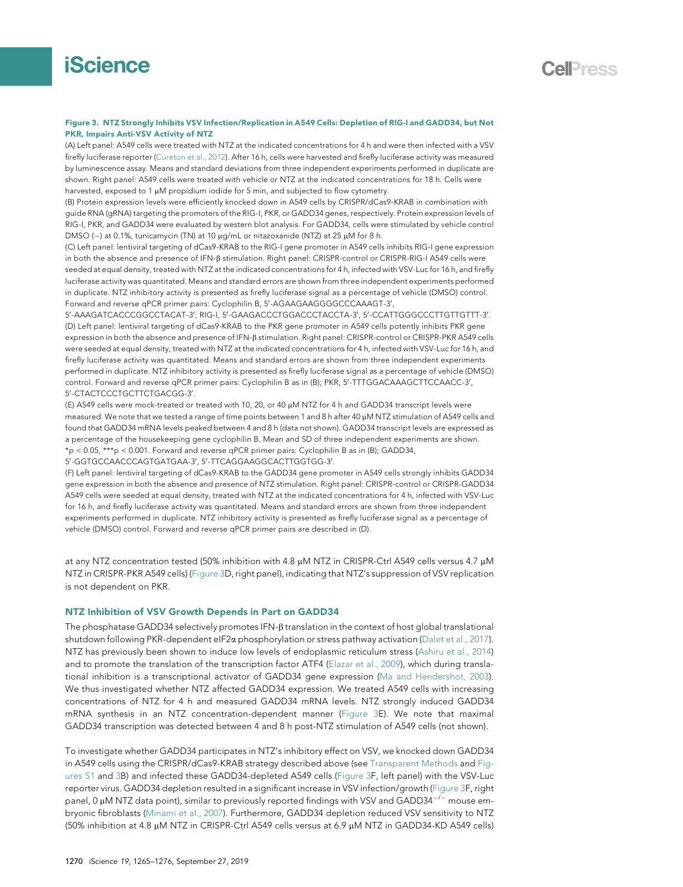

### **Cell**<sup>ress</sup>

#### Figure 3. NTZ Strongly Inhibits VSV Infection/Replication in A549 Cells: Depletion of RIG-I and GADD34, but Not PKR, Impairs Anti-VSV Activity of NTZ

(A) Left panel: A549 cells were treated with NTZ at the indicated concentrations for 4 h and were then infected with a VSV firefly luciferase reporter ([Cureton et al., 2012](#page-10-4)). After 16 h, cells were harvested and firefly luciferase activity was measured by luminescence assay. Means and standard deviations from three independent experiments performed in duplicate are shown. Right panel: A549 cells were treated with vehicle or NTZ at the indicated concentrations for 18 h. Cells were harvested, exposed to 1 µM propidium iodide for 5 min, and subjected to flow cytometry.

(B) Protein expression levels were efficiently knocked down in A549 cells by CRISPR/dCas9-KRAB in combination with guide RNA (gRNA) targeting the promoters of the RIG-I, PKR, or GADD34 genes, respectively. Protein expression levels of RIG-I, PKR, and GADD34 were evaluated by western blot analysis. For GADD34, cells were stimulated by vehicle control DMSO (-) at 0.1%, tunicamycin (TN) at 10  $\mu q/mL$  or nitazoxanide (NTZ) at 25  $\mu$ M for 8 h.

(C) Left panel: lentiviral targeting of dCas9-KRAB to the RIG-I gene promoter in A549 cells inhibits RIG-I gene expression in both the absence and presence of IFN-ß stimulation. Right panel: CRISPR-control or CRISPR-RIG-I A549 cells were seeded at equal density, treated with NTZ at the indicated concentrations for 4 h, infected with VSV-Luc for 16 h, and firefly luciferase activity was quantitated. Means and standard errors are shown from three independent experiments performed in duplicate. NTZ inhibitory activity is presented as firefly luciferase signal as a percentage of vehicle (DMSO) control. Forward and reverse qPCR primer pairs: Cyclophilin B, 5'-AGAAGAAGGGGCCCAAAGT-3',

.3'-AAAGATCACCCGGCCTACAT-3'; RIG-I, 5'-GAAGACCCTGGACCCTACCTA-3', 5'-CCATTGGGCCCTTGTTGTTT-3' (D) Left panel: lentiviral targeting of dCas9-KRAB to the PKR gene promoter in A549 cells potently inhibits PKR gene expression in both the absence and presence of IFN-B stimulation. Right panel: CRISPR-control or CRISPR-PKR A549 cells were seeded at equal density, treated with NTZ at the indicated concentrations for 4 h, infected with VSV-Luc for 16 h, and firefly luciferase activity was quantitated. Means and standard errors are shown from three independent experiments performed in duplicate. NTZ inhibitory activity is presented as firefly luciferase signal as a percentage of vehicle (DMSO) control. Forward and reverse qPCR primer pairs: Cyclophilin B as in (B); PKR, 5'-TTTGGACAAAGCTTCCAACC-3', 5'-CTACTCCCTGCTTCTGACGG-3'.

(E) A549 cells were mock-treated or treated with 10, 20, or 40 µM NTZ for 4 h and GADD34 transcript levels were measured. We note that we tested a range of time points between 1 and 8 h after 40 µM NTZ stimulation of A549 cells and found that GADD34 mRNA levels peaked between 4 and 8 h (data not shown). GADD34 transcript levels are expressed as a percentage of the housekeeping gene cyclophilin B. Mean and SD of three independent experiments are shown. \*p < 0.05, \*\*\*p < 0.001. Forward and reverse qPCR primer pairs: Cyclophilin B as in (B); GADD34, 5'-GGTGCCAACCCAGTGATGAA-3', 5'-TTCAGGAAGGCACTTGGTGG-3'.

(F) Left panel: lentiviral targeting of dCas9-KRAB to the GADD34 gene promoter in A549 cells strongly inhibits GADD34 gene expression in both the absence and presence of NTZ stimulation. Right panel: CRISPR-control or CRISPR-GADD34 A549 cells were seeded at equal density, treated with NTZ at the indicated concentrations for 4 h, infected with VSV-Luc for 16 h, and firefly luciferase activity was quantitated. Means and standard errors are shown from three independent experiments performed in duplicate. NTZ inhibitory activity is presented as firefly luciferase signal as a percentage of vehicle (DMSO) control. Forward and reverse qPCR primer pairs are described in (D).

at any NTZ concentration tested (50% inhibition with 4.8 µM NTZ in CRISPR-Ctrl A549 cells versus 4.7 µM NTZ in CRISPR-PKR A549 cells) ([Figure 3D](#page-5-0), right panel), indicating that NTZ's suppression of VSV replication is not dependent on PKR.

#### NTZ Inhibition of VSV Growth Depends in Part on GADD34

The phosphatase GADD34 selectively promotes IFN-B translation in the context of host global translational shutdown following PKR-dependent eIF2a phosphorylation or stress pathway activation ([Dalet et al., 2017](#page-11-20)). NTZ has previously been shown to induce low levels of endoplasmic reticulum stress [\(Ashiru et al., 2014](#page-10-1)) and to promote the translation of the transcription factor ATF4 [\(Elazar et al., 2009\)](#page-11-21), which during translational inhibition is a transcriptional activator of GADD34 gene expression ([Ma and Hendershot, 2003](#page-11-22)). We thus investigated whether NTZ affected GADD34 expression. We treated A549 cells with increasing concentrations of NTZ for 4 h and measured GADD34 mRNA levels. NTZ strongly induced GADD34 mRNA synthesis in an NTZ concentration-dependent manner ([Figure 3](#page-5-0)E). We note that maximal GADD34 transcription was detected between 4 and 8 h post-NTZ stimulation of A549 cells (not shown).

To investigate whether GADD34 participates in NTZ's inhibitory effect on VSV, we knocked down GADD34 in A549 cells using the CRISPR/dCas9-KRAB strategy described above (see [Transparent Methods](#page-10-5) and [Fig](#page-10-5)[ures S1](#page-10-5) and [3B](#page-5-0)) and infected these GADD34-depleted A549 cells ([Figure 3F](#page-5-0), left panel) with the VSV-Luc reporter virus. GADD34 depletion resulted in a significant increase in VSV infection/growth [\(Figure 3](#page-5-0)F, right panel, 0  $\mu$ M NTZ data point), similar to previously reported findings with VSV and GADD34<sup>-/-</sup> mouse embryonic fibroblasts ([Minami et al., 2007](#page-11-23)). Furthermore, GADD34 depletion reduced VSV sensitivity to NTZ (50% inhibition at 4.8 mM NTZ in CRISPR-Ctrl A549 cells versus at 6.9 mM NTZ in GADD34-KD A549 cells)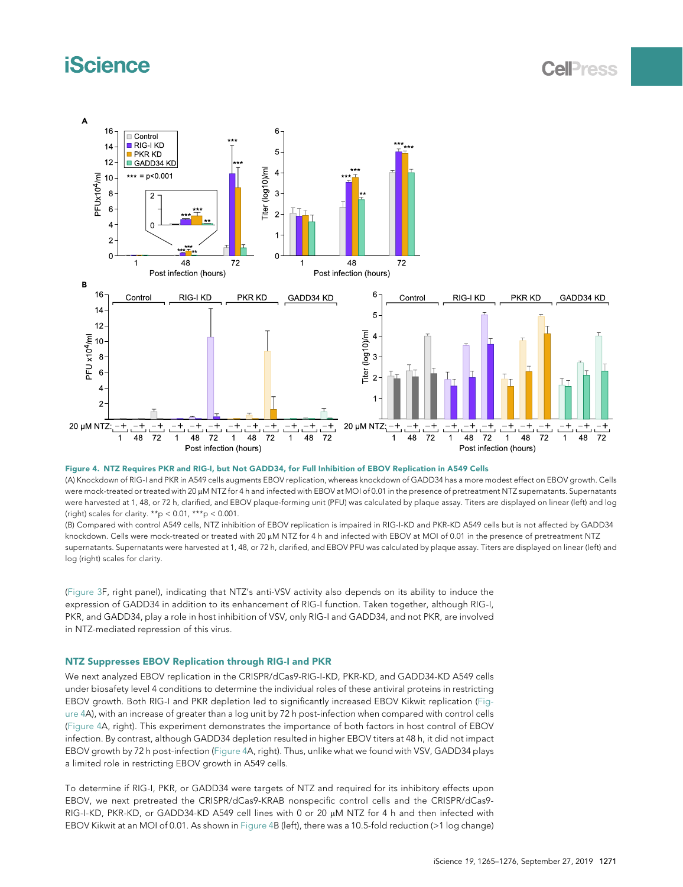<span id="page-7-0"></span>

#### Figure 4. NTZ Requires PKR and RIG-I, but Not GADD34, for Full Inhibition of EBOV Replication in A549 Cells

(A) Knockdown of RIG-I and PKR in A549 cells augments EBOV replication, whereas knockdown of GADD34 has a more modest effect on EBOV growth. Cells were mock-treated or treated with 20 uM NTZ for 4 h and infected with EBOV at MOI of 0.01 in the presence of pretreatment NTZ supernatants. Supernatants were harvested at 1, 48, or 72 h, clarified, and EBOV plaque-forming unit (PFU) was calculated by plaque assay. Titers are displayed on linear (left) and log (right) scales for clarity.  $*$ <sub>p</sub> < 0.01,  $*$  $*$ <sub>p</sub> < 0.001

(B) Compared with control A549 cells, NTZ inhibition of EBOV replication is impaired in RIG-I-KD and PKR-KD A549 cells but is not affected by GADD34 knockdown. Cells were mock-treated or treated with 20 µM NTZ for 4 h and infected with EBOV at MOI of 0.01 in the presence of pretreatment NTZ supernatants. Supernatants were harvested at 1, 48, or 72 h, clarified, and EBOV PFU was calculated by plaque assay. Titers are displayed on linear (left) and log (right) scales for clarity.

([Figure 3](#page-5-0)F, right panel), indicating that NTZ's anti-VSV activity also depends on its ability to induce the expression of GADD34 in addition to its enhancement of RIG-I function. Taken together, although RIG-I, PKR, and GADD34, play a role in host inhibition of VSV, only RIG-I and GADD34, and not PKR, are involved in NTZ-mediated repression of this virus.

#### NTZ Suppresses EBOV Replication through RIG-I and PKR

We next analyzed EBOV replication in the CRISPR/dCas9-RIG-I-KD, PKR-KD, and GADD34-KD A549 cells under biosafety level 4 conditions to determine the individual roles of these antiviral proteins in restricting EBOV growth. Both RIG-I and PKR depletion led to significantly increased EBOV Kikwit replication [\(Fig](#page-7-0)[ure 4A](#page-7-0)), with an increase of greater than a log unit by 72 h post-infection when compared with control cells ([Figure 4A](#page-7-0), right). This experiment demonstrates the importance of both factors in host control of EBOV infection. By contrast, although GADD34 depletion resulted in higher EBOV titers at 48 h, it did not impact EBOV growth by 72 h post-infection [\(Figure 4](#page-7-0)A, right). Thus, unlike what we found with VSV, GADD34 plays a limited role in restricting EBOV growth in A549 cells.

To determine if RIG-I, PKR, or GADD34 were targets of NTZ and required for its inhibitory effects upon EBOV, we next pretreated the CRISPR/dCas9-KRAB nonspecific control cells and the CRISPR/dCas9- RIG-I-KD, PKR-KD, or GADD34-KD A549 cell lines with 0 or 20 µM NTZ for 4 h and then infected with EBOV Kikwit at an MOI of 0.01. As shown in [Figure 4B](#page-7-0) (left), there was a 10.5-fold reduction (>1 log change)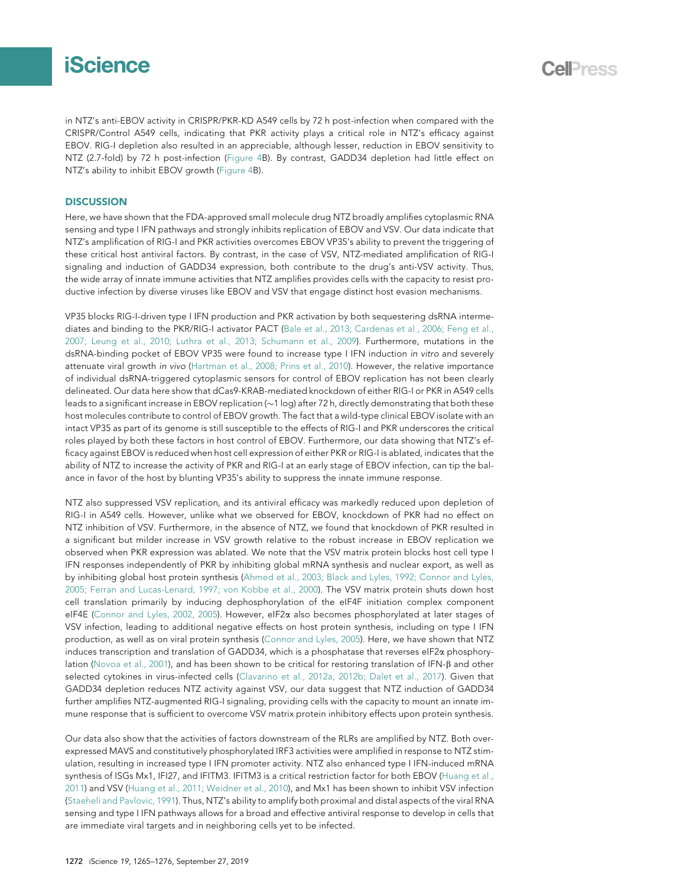in NTZ's anti-EBOV activity in CRISPR/PKR-KD A549 cells by 72 h post-infection when compared with the CRISPR/Control A549 cells, indicating that PKR activity plays a critical role in NTZ's efficacy against EBOV. RIG-I depletion also resulted in an appreciable, although lesser, reduction in EBOV sensitivity to NTZ (2.7-fold) by 72 h post-infection [\(Figure 4](#page-7-0)B). By contrast, GADD34 depletion had little effect on NTZ's ability to inhibit EBOV growth ([Figure 4](#page-7-0)B).

#### **DISCUSSION**

Here, we have shown that the FDA-approved small molecule drug NTZ broadly amplifies cytoplasmic RNA sensing and type I IFN pathways and strongly inhibits replication of EBOV and VSV. Our data indicate that NTZ's amplification of RIG-I and PKR activities overcomes EBOV VP35's ability to prevent the triggering of these critical host antiviral factors. By contrast, in the case of VSV, NTZ-mediated amplification of RIG-I signaling and induction of GADD34 expression, both contribute to the drug's anti-VSV activity. Thus, the wide array of innate immune activities that NTZ amplifies provides cells with the capacity to resist productive infection by diverse viruses like EBOV and VSV that engage distinct host evasion mechanisms.

VP35 blocks RIG-I-driven type I IFN production and PKR activation by both sequestering dsRNA intermediates and binding to the PKR/RIG-I activator PACT ([Bale et al., 2013; Cardenas et al., 2006; Feng et al.,](#page-10-6) [2007; Leung et al., 2010; Luthra et al., 2013; Schumann et al., 2009\)](#page-10-6). Furthermore, mutations in the dsRNA-binding pocket of EBOV VP35 were found to increase type I IFN induction in vitro and severely attenuate viral growth in vivo ([Hartman et al., 2008; Prins et al., 2010\)](#page-11-2). However, the relative importance of individual dsRNA-triggered cytoplasmic sensors for control of EBOV replication has not been clearly delineated. Our data here show that dCas9-KRAB-mediated knockdown of either RIG-I or PKR in A549 cells leads to a significant increase in EBOV replication ( $\sim$ 1 log) after 72 h, directly demonstrating that both these host molecules contribute to control of EBOV growth. The fact that a wild-type clinical EBOV isolate with an intact VP35 as part of its genome is still susceptible to the effects of RIG-I and PKR underscores the critical roles played by both these factors in host control of EBOV. Furthermore, our data showing that NTZ's efficacy against EBOV is reduced when host cell expression of either PKR or RIG-I is ablated, indicates that the ability of NTZ to increase the activity of PKR and RIG-I at an early stage of EBOV infection, can tip the balance in favor of the host by blunting VP35's ability to suppress the innate immune response.

NTZ also suppressed VSV replication, and its antiviral efficacy was markedly reduced upon depletion of RIG-I in A549 cells. However, unlike what we observed for EBOV, knockdown of PKR had no effect on NTZ inhibition of VSV. Furthermore, in the absence of NTZ, we found that knockdown of PKR resulted in a significant but milder increase in VSV growth relative to the robust increase in EBOV replication we observed when PKR expression was ablated. We note that the VSV matrix protein blocks host cell type I IFN responses independently of PKR by inhibiting global mRNA synthesis and nuclear export, as well as by inhibiting global host protein synthesis [\(Ahmed et al., 2003; Black and Lyles, 1992; Connor and Lyles,](#page-10-7) [2005; Ferran and Lucas-Lenard, 1997; von Kobbe et al., 2000](#page-10-7)). The VSV matrix protein shuts down host cell translation primarily by inducing dephosphorylation of the eIF4F initiation complex component eIF4E ([Connor and Lyles, 2002, 2005](#page-10-8)). However, eIF2 $\alpha$  also becomes phosphorylated at later stages of VSV infection, leading to additional negative effects on host protein synthesis, including on type I IFN production, as well as on viral protein synthesis [\(Connor and Lyles, 2005](#page-10-9)). Here, we have shown that NTZ induces transcription and translation of GADD34, which is a phosphatase that reverses eIF2a phosphory-lation ([Novoa et al., 2001\)](#page-11-24), and has been shown to be critical for restoring translation of IFN- $\beta$  and other selected cytokines in virus-infected cells [\(Clavarino et al., 2012a, 2012b; Dalet et al., 2017](#page-10-10)). Given that GADD34 depletion reduces NTZ activity against VSV, our data suggest that NTZ induction of GADD34 further amplifies NTZ-augmented RIG-I signaling, providing cells with the capacity to mount an innate immune response that is sufficient to overcome VSV matrix protein inhibitory effects upon protein synthesis.

Our data also show that the activities of factors downstream of the RLRs are amplified by NTZ. Both overexpressed MAVS and constitutively phosphorylated IRF3 activities were amplified in response to NTZ stimulation, resulting in increased type I IFN promoter activity. NTZ also enhanced type I IFN-induced mRNA synthesis of ISGs Mx1, IFI27, and IFITM3. IFITM3 is a critical restriction factor for both EBOV [\(Huang et al.,](#page-11-17) [2011\)](#page-11-17) and VSV [\(Huang et al., 2011; Weidner et al., 2010\)](#page-11-17), and Mx1 has been shown to inhibit VSV infection ([Staeheli and Pavlovic, 1991](#page-12-2)). Thus, NTZ's ability to amplify both proximal and distal aspects of the viral RNA sensing and type I IFN pathways allows for a broad and effective antiviral response to develop in cells that are immediate viral targets and in neighboring cells yet to be infected.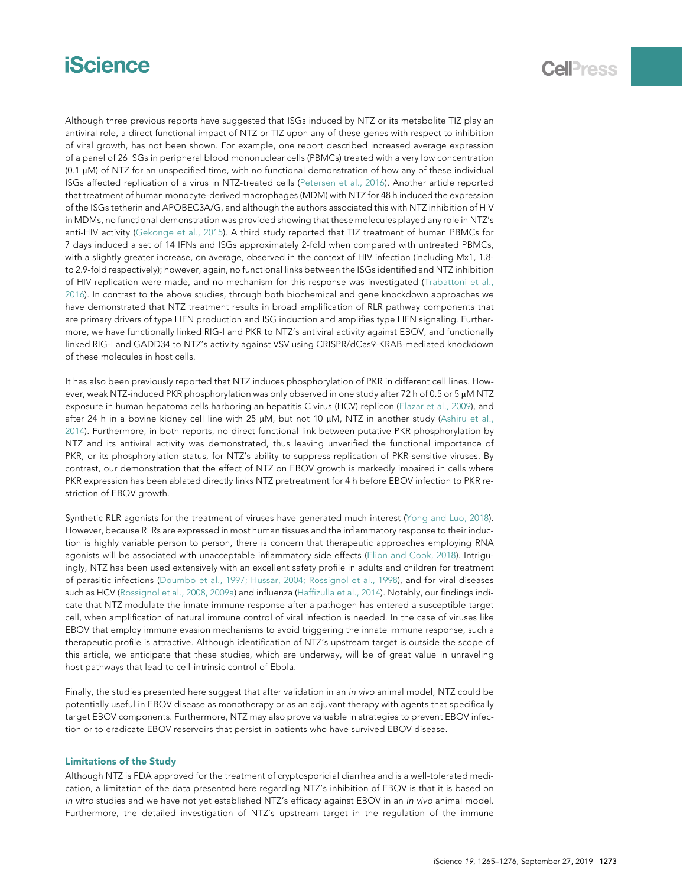Although three previous reports have suggested that ISGs induced by NTZ or its metabolite TIZ play an antiviral role, a direct functional impact of NTZ or TIZ upon any of these genes with respect to inhibition of viral growth, has not been shown. For example, one report described increased average expression of a panel of 26 ISGs in peripheral blood mononuclear cells (PBMCs) treated with a very low concentration (0.1 mM) of NTZ for an unspecified time, with no functional demonstration of how any of these individual ISGs affected replication of a virus in NTZ-treated cells ([Petersen et al., 2016\)](#page-11-25). Another article reported that treatment of human monocyte-derived macrophages (MDM) with NTZ for 48 h induced the expression of the ISGs tetherin and APOBEC3A/G, and although the authors associated this with NTZ inhibition of HIV in MDMs, no functional demonstration was provided showing that these molecules played any role in NTZ's anti-HIV activity ([Gekonge et al., 2015\)](#page-11-9). A third study reported that TIZ treatment of human PBMCs for 7 days induced a set of 14 IFNs and ISGs approximately 2-fold when compared with untreated PBMCs, with a slightly greater increase, on average, observed in the context of HIV infection (including Mx1, 1.8 to 2.9-fold respectively); however, again, no functional links between the ISGs identified and NTZ inhibition of HIV replication were made, and no mechanism for this response was investigated ([Trabattoni et al.,](#page-12-3) [2016\)](#page-12-3). In contrast to the above studies, through both biochemical and gene knockdown approaches we have demonstrated that NTZ treatment results in broad amplification of RLR pathway components that are primary drivers of type I IFN production and ISG induction and amplifies type I IFN signaling. Furthermore, we have functionally linked RIG-I and PKR to NTZ's antiviral activity against EBOV, and functionally linked RIG-I and GADD34 to NTZ's activity against VSV using CRISPR/dCas9-KRAB-mediated knockdown of these molecules in host cells.

It has also been previously reported that NTZ induces phosphorylation of PKR in different cell lines. However, weak NTZ-induced PKR phosphorylation was only observed in one study after 72 h of 0.5 or 5 µM NTZ exposure in human hepatoma cells harboring an hepatitis C virus (HCV) replicon ([Elazar et al., 2009](#page-11-21)), and after 24 h in a bovine kidney cell line with 25  $\mu$ M, but not 10  $\mu$ M, NTZ in another study [\(Ashiru et al.,](#page-10-1) [2014\)](#page-10-1). Furthermore, in both reports, no direct functional link between putative PKR phosphorylation by NTZ and its antiviral activity was demonstrated, thus leaving unverified the functional importance of PKR, or its phosphorylation status, for NTZ's ability to suppress replication of PKR-sensitive viruses. By contrast, our demonstration that the effect of NTZ on EBOV growth is markedly impaired in cells where PKR expression has been ablated directly links NTZ pretreatment for 4 h before EBOV infection to PKR restriction of EBOV growth.

Synthetic RLR agonists for the treatment of viruses have generated much interest ([Yong and Luo, 2018](#page-12-4)). However, because RLRs are expressed in most human tissues and the inflammatory response to their induction is highly variable person to person, there is concern that therapeutic approaches employing RNA agonists will be associated with unacceptable inflammatory side effects [\(Elion and Cook, 2018\)](#page-11-26). Intriguingly, NTZ has been used extensively with an excellent safety profile in adults and children for treatment of parasitic infections ([Doumbo et al., 1997; Hussar, 2004; Rossignol et al., 1998](#page-11-4)), and for viral diseases such as HCV ([Rossignol et al., 2008, 2009a\)](#page-12-5) and influenza ([Haffizulla et al., 2014](#page-11-6)). Notably, our findings indicate that NTZ modulate the innate immune response after a pathogen has entered a susceptible target cell, when amplification of natural immune control of viral infection is needed. In the case of viruses like EBOV that employ immune evasion mechanisms to avoid triggering the innate immune response, such a therapeutic profile is attractive. Although identification of NTZ's upstream target is outside the scope of this article, we anticipate that these studies, which are underway, will be of great value in unraveling host pathways that lead to cell-intrinsic control of Ebola.

Finally, the studies presented here suggest that after validation in an in vivo animal model, NTZ could be potentially useful in EBOV disease as monotherapy or as an adjuvant therapy with agents that specifically target EBOV components. Furthermore, NTZ may also prove valuable in strategies to prevent EBOV infection or to eradicate EBOV reservoirs that persist in patients who have survived EBOV disease.

#### Limitations of the Study

Although NTZ is FDA approved for the treatment of cryptosporidial diarrhea and is a well-tolerated medication, a limitation of the data presented here regarding NTZ's inhibition of EBOV is that it is based on in vitro studies and we have not yet established NTZ's efficacy against EBOV in an in vivo animal model. Furthermore, the detailed investigation of NTZ's upstream target in the regulation of the immune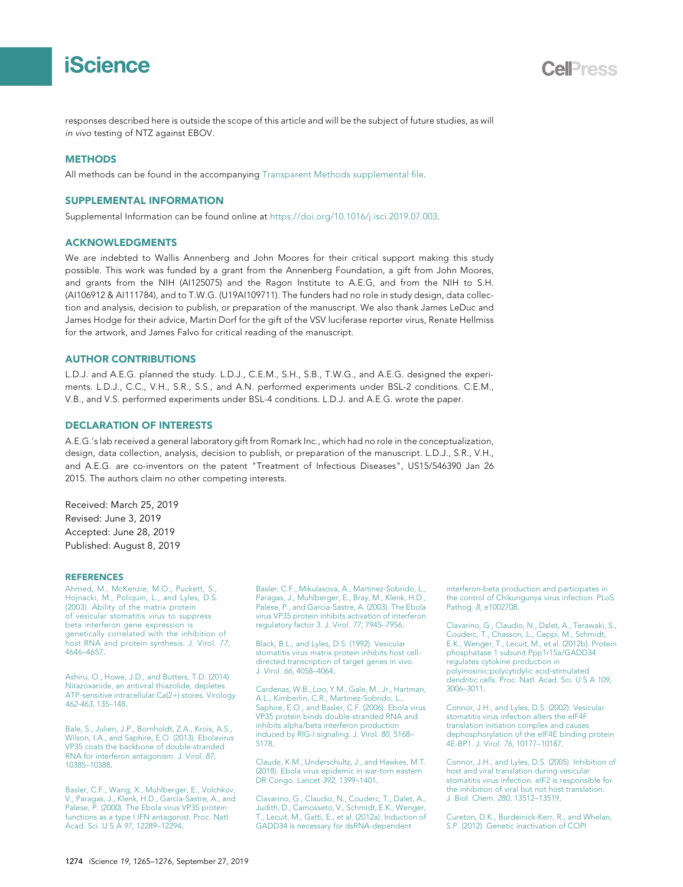

responses described here is outside the scope of this article and will be the subject of future studies, as will in vivo testing of NTZ against EBOV.

#### **METHODS**

All methods can be found in the accompanying [Transparent Methods supplemental file](#page-10-5).

#### <span id="page-10-5"></span>SUPPLEMENTAL INFORMATION

Supplemental Information can be found online at <https://doi.org/10.1016/j.isci.2019.07.003>.

#### ACKNOWLEDGMENTS

We are indebted to Wallis Annenberg and John Moores for their critical support making this study possible. This work was funded by a grant from the Annenberg Foundation, a gift from John Moores, and grants from the NIH (AI125075) and the Ragon Institute to A.E.G, and from the NIH to S.H. (AI106912 & AI111784), and to T.W.G. (U19AI109711). The funders had no role in study design, data collection and analysis, decision to publish, or preparation of the manuscript. We also thank James LeDuc and James Hodge for their advice, Martin Dorf for the gift of the VSV luciferase reporter virus, Renate Hellmiss for the artwork, and James Falvo for critical reading of the manuscript.

#### AUTHOR CONTRIBUTIONS

L.D.J. and A.E.G. planned the study. L.D.J., C.E.M., S.H., S.B., T.W.G., and A.E.G. designed the experiments. L.D.J., C.C., V.H., S.R., S.S., and A.N. performed experiments under BSL-2 conditions. C.E.M., V.B., and V.S. performed experiments under BSL-4 conditions. L.D.J. and A.E.G. wrote the paper.

#### DECLARATION OF INTERESTS

A.E.G.'s lab received a general laboratory gift from Romark Inc., which had no role in the conceptualization, design, data collection, analysis, decision to publish, or preparation of the manuscript. L.D.J., S.R., V.H., and A.E.G. are co-inventors on the patent "Treatment of Infectious Diseases", US15/546390 Jan 26 2015. The authors claim no other competing interests.

Received: March 25, 2019 Revised: June 3, 2019 Accepted: June 28, 2019 Published: August 8, 2019

#### **REFERENCES**

<span id="page-10-7"></span>[Ahmed, M., McKenzie, M.O., Puckett, S.,](http://refhub.elsevier.com/S2589-0042(19)30228-7/sref2) [Hojnacki, M., Poliquin, L., and Lyles, D.S.](http://refhub.elsevier.com/S2589-0042(19)30228-7/sref2) [\(2003\). Ability of the matrix protein](http://refhub.elsevier.com/S2589-0042(19)30228-7/sref2) [of vesicular stomatitis virus to suppress](http://refhub.elsevier.com/S2589-0042(19)30228-7/sref2) [beta interferon gene expression is](http://refhub.elsevier.com/S2589-0042(19)30228-7/sref2) [genetically correlated with the inhibition of](http://refhub.elsevier.com/S2589-0042(19)30228-7/sref2) [host RNA and protein synthesis. J. Virol.](http://refhub.elsevier.com/S2589-0042(19)30228-7/sref2) 77, [4646–4657](http://refhub.elsevier.com/S2589-0042(19)30228-7/sref2).

<span id="page-10-1"></span>[Ashiru, O., Howe, J.D., and Butters, T.D. \(2014\).](http://refhub.elsevier.com/S2589-0042(19)30228-7/sref3) [Nitazoxanide, an antiviral thiazolide, depletes](http://refhub.elsevier.com/S2589-0042(19)30228-7/sref3) [ATP-sensitive intracellular Ca\(2+\) stores. Virology](http://refhub.elsevier.com/S2589-0042(19)30228-7/sref3) 462-463[, 135–148.](http://refhub.elsevier.com/S2589-0042(19)30228-7/sref3)

<span id="page-10-6"></span>[Bale, S., Julien, J.P., Bornholdt, Z.A., Krois, A.S.,](http://refhub.elsevier.com/S2589-0042(19)30228-7/sref4) [Wilson, I.A., and Saphire, E.O. \(2013\). Ebolavirus](http://refhub.elsevier.com/S2589-0042(19)30228-7/sref4) [VP35 coats the backbone of double-stranded](http://refhub.elsevier.com/S2589-0042(19)30228-7/sref4) [RNA for interferon antagonism. J. Virol.](http://refhub.elsevier.com/S2589-0042(19)30228-7/sref4) 87, [10385–10388.](http://refhub.elsevier.com/S2589-0042(19)30228-7/sref4)

<span id="page-10-3"></span>[Basler, C.F., Wang, X., Muhlberger, E., Volchkov,](http://refhub.elsevier.com/S2589-0042(19)30228-7/sref5) [V., Paragas, J., Klenk, H.D., Garcia-Sastre, A., and](http://refhub.elsevier.com/S2589-0042(19)30228-7/sref5) [Palese, P. \(2000\). The Ebola virus VP35 protein](http://refhub.elsevier.com/S2589-0042(19)30228-7/sref5) [functions as a type I IFN antagonist. Proc. Natl.](http://refhub.elsevier.com/S2589-0042(19)30228-7/sref5) [Acad. Sci. U S A](http://refhub.elsevier.com/S2589-0042(19)30228-7/sref5) 97, 12289–12294.

[Basler, C.F., Mikulasova, A., Martinez-Sobrido, L.,](http://refhub.elsevier.com/S2589-0042(19)30228-7/sref6) [Paragas, J., Muhlberger, E., Bray, M., Klenk, H.D.,](http://refhub.elsevier.com/S2589-0042(19)30228-7/sref6) [Palese, P., and Garcia-Sastre, A. \(2003\). The Ebola](http://refhub.elsevier.com/S2589-0042(19)30228-7/sref6) [virus VP35 protein inhibits activation of interferon](http://refhub.elsevier.com/S2589-0042(19)30228-7/sref6) [regulatory factor 3. J. Virol.](http://refhub.elsevier.com/S2589-0042(19)30228-7/sref6) 77, 7945–7956.

[Black, B.L., and Lyles, D.S. \(1992\). Vesicular](http://refhub.elsevier.com/S2589-0042(19)30228-7/sref7) [stomatitis virus matrix protein inhibits host cell](http://refhub.elsevier.com/S2589-0042(19)30228-7/sref7)[directed transcription of target genes in vivo.](http://refhub.elsevier.com/S2589-0042(19)30228-7/sref7) J. Virol. 66[, 4058–4064.](http://refhub.elsevier.com/S2589-0042(19)30228-7/sref7)

<span id="page-10-0"></span>[Cardenas, W.B., Loo, Y.M., Gale, M., Jr., Hartman,](http://refhub.elsevier.com/S2589-0042(19)30228-7/sref8) [A.L., Kimberlin, C.R., Martinez-Sobrido, L.,](http://refhub.elsevier.com/S2589-0042(19)30228-7/sref8) [Saphire, E.O., and Basler, C.F. \(2006\). Ebola virus](http://refhub.elsevier.com/S2589-0042(19)30228-7/sref8) [VP35 protein binds double-stranded RNA and](http://refhub.elsevier.com/S2589-0042(19)30228-7/sref8) [inhibits alpha/beta interferon production](http://refhub.elsevier.com/S2589-0042(19)30228-7/sref8) [induced by RIG-I signaling. J. Virol.](http://refhub.elsevier.com/S2589-0042(19)30228-7/sref8) 80, 5168– [5178.](http://refhub.elsevier.com/S2589-0042(19)30228-7/sref8)

<span id="page-10-2"></span>[Claude, K.M., Underschultz, J., and Hawkes, M.T.](http://refhub.elsevier.com/S2589-0042(19)30228-7/sref10) [\(2018\). Ebola virus epidemic in war-torn eastern](http://refhub.elsevier.com/S2589-0042(19)30228-7/sref10) [DR Congo. Lancet](http://refhub.elsevier.com/S2589-0042(19)30228-7/sref10) 392, 1399–1401.

<span id="page-10-10"></span>[Clavarino, G., Claudio, N., Couderc, T., Dalet, A.,](http://refhub.elsevier.com/S2589-0042(19)30228-7/sref11) [Judith, D., Camosseto, V., Schmidt, E.K., Wenger,](http://refhub.elsevier.com/S2589-0042(19)30228-7/sref11) [T., Lecuit, M., Gatti, E., et al. \(2012a\). Induction of](http://refhub.elsevier.com/S2589-0042(19)30228-7/sref11) [GADD34 is necessary for dsRNA-dependent](http://refhub.elsevier.com/S2589-0042(19)30228-7/sref11) [interferon-beta production and participates in](http://refhub.elsevier.com/S2589-0042(19)30228-7/sref11) [the control of Chikungunya virus infection. PLoS](http://refhub.elsevier.com/S2589-0042(19)30228-7/sref11) Pathog. 8[, e1002708](http://refhub.elsevier.com/S2589-0042(19)30228-7/sref11).

[Clavarino, G., Claudio, N., Dalet, A., Terawaki, S.,](http://refhub.elsevier.com/S2589-0042(19)30228-7/sref12) [Couderc, T., Chasson, L., Ceppi, M., Schmidt,](http://refhub.elsevier.com/S2589-0042(19)30228-7/sref12) [E.K., Wenger, T., Lecuit, M., et al. \(2012b\). Protein](http://refhub.elsevier.com/S2589-0042(19)30228-7/sref12) [phosphatase 1 subunit Ppp1r15a/GADD34](http://refhub.elsevier.com/S2589-0042(19)30228-7/sref12) [regulates cytokine production in](http://refhub.elsevier.com/S2589-0042(19)30228-7/sref12) [polyinosinic:polycytidylic acid-stimulated](http://refhub.elsevier.com/S2589-0042(19)30228-7/sref12) [dendritic cells. Proc. Natl. Acad. Sci. U S A](http://refhub.elsevier.com/S2589-0042(19)30228-7/sref12) 109, [3006–3011](http://refhub.elsevier.com/S2589-0042(19)30228-7/sref12).

<span id="page-10-8"></span>[Connor, J.H., and Lyles, D.S. \(2002\). Vesicular](http://refhub.elsevier.com/S2589-0042(19)30228-7/sref13) [stomatitis virus infection alters the eIF4F](http://refhub.elsevier.com/S2589-0042(19)30228-7/sref13) [translation initiation complex and causes](http://refhub.elsevier.com/S2589-0042(19)30228-7/sref13) [dephosphorylation of the eIF4E binding protein](http://refhub.elsevier.com/S2589-0042(19)30228-7/sref13) [4E-BP1. J. Virol.](http://refhub.elsevier.com/S2589-0042(19)30228-7/sref13) 76, 10177–10187.

<span id="page-10-9"></span>[Connor, J.H., and Lyles, D.S. \(2005\). Inhibition of](http://refhub.elsevier.com/S2589-0042(19)30228-7/sref14) [host and viral translation during vesicular](http://refhub.elsevier.com/S2589-0042(19)30228-7/sref14) [stomatitis virus infection. eIF2 is responsible for](http://refhub.elsevier.com/S2589-0042(19)30228-7/sref14) [the inhibition of viral but not host translation.](http://refhub.elsevier.com/S2589-0042(19)30228-7/sref14) J. Biol. Chem. 280[, 13512–13519](http://refhub.elsevier.com/S2589-0042(19)30228-7/sref14).

<span id="page-10-4"></span>[Cureton, D.K., Burdeinick-Kerr, R., and Whelan,](http://refhub.elsevier.com/S2589-0042(19)30228-7/sref15) [S.P. \(2012\). Genetic inactivation of COPI](http://refhub.elsevier.com/S2589-0042(19)30228-7/sref15)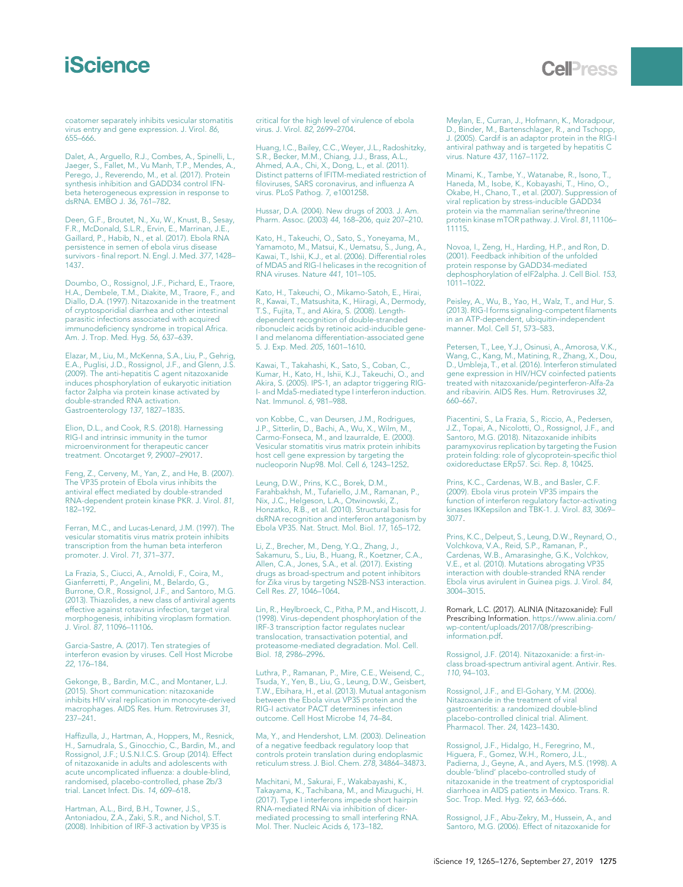**Cell**<sub>ress</sub>

[coatomer separately inhibits vesicular stomatitis](http://refhub.elsevier.com/S2589-0042(19)30228-7/sref15) [virus entry and gene expression. J. Virol.](http://refhub.elsevier.com/S2589-0042(19)30228-7/sref15) 86, [655–666.](http://refhub.elsevier.com/S2589-0042(19)30228-7/sref15)

<span id="page-11-20"></span>[Dalet, A., Arguello, R.J., Combes, A., Spinelli, L.,](http://refhub.elsevier.com/S2589-0042(19)30228-7/sref16) [Jaeger, S., Fallet, M., Vu Manh, T.P., Mendes, A.,](http://refhub.elsevier.com/S2589-0042(19)30228-7/sref16) [Perego, J., Reverendo, M., et al. \(2017\). Protein](http://refhub.elsevier.com/S2589-0042(19)30228-7/sref16) [synthesis inhibition and GADD34 control IFN](http://refhub.elsevier.com/S2589-0042(19)30228-7/sref16)[beta heterogeneous expression in response to](http://refhub.elsevier.com/S2589-0042(19)30228-7/sref16) [dsRNA. EMBO J.](http://refhub.elsevier.com/S2589-0042(19)30228-7/sref16) 36, 761–782.

<span id="page-11-10"></span>[Deen, G.F., Broutet, N., Xu, W., Knust, B., Sesay,](http://refhub.elsevier.com/S2589-0042(19)30228-7/sref17) [F.R., McDonald, S.L.R., Ervin, E., Marrinan, J.E.,](http://refhub.elsevier.com/S2589-0042(19)30228-7/sref17) [Gaillard, P., Habib, N., et al. \(2017\). Ebola RNA](http://refhub.elsevier.com/S2589-0042(19)30228-7/sref17) [persistence in semen of ebola virus disease](http://refhub.elsevier.com/S2589-0042(19)30228-7/sref17) [survivors - final report. N. Engl. J. Med.](http://refhub.elsevier.com/S2589-0042(19)30228-7/sref17) 377, 1428– [1437](http://refhub.elsevier.com/S2589-0042(19)30228-7/sref17).

<span id="page-11-4"></span>[Doumbo, O., Rossignol, J.F., Pichard, E., Traore,](http://refhub.elsevier.com/S2589-0042(19)30228-7/sref18) [H.A., Dembele, T.M., Diakite, M., Traore, F., and](http://refhub.elsevier.com/S2589-0042(19)30228-7/sref18) [Diallo, D.A. \(1997\). Nitazoxanide in the treatment](http://refhub.elsevier.com/S2589-0042(19)30228-7/sref18) [of cryptosporidial diarrhea and other intestinal](http://refhub.elsevier.com/S2589-0042(19)30228-7/sref18) [parasitic infections associated with acquired](http://refhub.elsevier.com/S2589-0042(19)30228-7/sref18) [immunodeficiency syndrome in tropical Africa.](http://refhub.elsevier.com/S2589-0042(19)30228-7/sref18) [Am. J. Trop. Med. Hyg.](http://refhub.elsevier.com/S2589-0042(19)30228-7/sref18) 56, 637–639.

<span id="page-11-21"></span>[Elazar, M., Liu, M., McKenna, S.A., Liu, P., Gehrig,](http://refhub.elsevier.com/S2589-0042(19)30228-7/sref19) [E.A., Puglisi, J.D., Rossignol, J.F., and Glenn, J.S.](http://refhub.elsevier.com/S2589-0042(19)30228-7/sref19) [\(2009\). The anti-hepatitis C agent nitazoxanide](http://refhub.elsevier.com/S2589-0042(19)30228-7/sref19) [induces phosphorylation of eukaryotic initiation](http://refhub.elsevier.com/S2589-0042(19)30228-7/sref19) [factor 2alpha via protein kinase activated by](http://refhub.elsevier.com/S2589-0042(19)30228-7/sref19) [double-stranded RNA activation.](http://refhub.elsevier.com/S2589-0042(19)30228-7/sref19) [Gastroenterology](http://refhub.elsevier.com/S2589-0042(19)30228-7/sref19) 137, 1827–1835.

<span id="page-11-26"></span>[Elion, D.L., and Cook, R.S. \(2018\). Harnessing](http://refhub.elsevier.com/S2589-0042(19)30228-7/sref20) [RIG-I and intrinsic immunity in the tumor](http://refhub.elsevier.com/S2589-0042(19)30228-7/sref20) [microenvironment for therapeutic cancer](http://refhub.elsevier.com/S2589-0042(19)30228-7/sref20) [treatment. Oncotarget](http://refhub.elsevier.com/S2589-0042(19)30228-7/sref20) 9, 29007–29017.

<span id="page-11-1"></span>[Feng, Z., Cerveny, M., Yan, Z., and He, B. \(2007\).](http://refhub.elsevier.com/S2589-0042(19)30228-7/sref21) [The VP35 protein of Ebola virus inhibits the](http://refhub.elsevier.com/S2589-0042(19)30228-7/sref21) [antiviral effect mediated by double-stranded](http://refhub.elsevier.com/S2589-0042(19)30228-7/sref21) [RNA-dependent protein kinase PKR. J. Virol.](http://refhub.elsevier.com/S2589-0042(19)30228-7/sref21) 81, [182–192.](http://refhub.elsevier.com/S2589-0042(19)30228-7/sref21)

[Ferran, M.C., and Lucas-Lenard, J.M. \(1997\). The](http://refhub.elsevier.com/S2589-0042(19)30228-7/sref22) [vesicular stomatitis virus matrix protein inhibits](http://refhub.elsevier.com/S2589-0042(19)30228-7/sref22) [transcription from the human beta interferon](http://refhub.elsevier.com/S2589-0042(19)30228-7/sref22) [promoter. J. Virol.](http://refhub.elsevier.com/S2589-0042(19)30228-7/sref22) 71, 371–377.

[La Frazia, S., Ciucci, A., Arnoldi, F., Coira, M.,](http://refhub.elsevier.com/S2589-0042(19)30228-7/sref23) [Gianferretti, P., Angelini, M., Belardo, G.,](http://refhub.elsevier.com/S2589-0042(19)30228-7/sref23) [Burrone, O.R., Rossignol, J.F., and Santoro, M.G.](http://refhub.elsevier.com/S2589-0042(19)30228-7/sref23) [\(2013\). Thiazolides, a new class of antiviral agents](http://refhub.elsevier.com/S2589-0042(19)30228-7/sref23) [effective against rotavirus infection, target viral](http://refhub.elsevier.com/S2589-0042(19)30228-7/sref23) [morphogenesis, inhibiting viroplasm formation.](http://refhub.elsevier.com/S2589-0042(19)30228-7/sref23) J. Virol. 87[, 11096–11106](http://refhub.elsevier.com/S2589-0042(19)30228-7/sref23).

<span id="page-11-0"></span>[Garcia-Sastre, A. \(2017\). Ten strategies of](http://refhub.elsevier.com/S2589-0042(19)30228-7/sref24) [interferon evasion by viruses. Cell Host Microbe](http://refhub.elsevier.com/S2589-0042(19)30228-7/sref24) 22[, 176–184](http://refhub.elsevier.com/S2589-0042(19)30228-7/sref24).

<span id="page-11-9"></span>[Gekonge, B., Bardin, M.C., and Montaner, L.J.](http://refhub.elsevier.com/S2589-0042(19)30228-7/sref25) [\(2015\). Short communication: nitazoxanide](http://refhub.elsevier.com/S2589-0042(19)30228-7/sref25) [inhibits HIV viral replication in monocyte-derived](http://refhub.elsevier.com/S2589-0042(19)30228-7/sref25) [macrophages. AIDS Res. Hum. Retroviruses](http://refhub.elsevier.com/S2589-0042(19)30228-7/sref25) 31, [237–241](http://refhub.elsevier.com/S2589-0042(19)30228-7/sref25).

<span id="page-11-6"></span>[Haffizulla, J., Hartman, A., Hoppers, M., Resnick,](http://refhub.elsevier.com/S2589-0042(19)30228-7/sref26) [H., Samudrala, S., Ginocchio, C., Bardin, M., and](http://refhub.elsevier.com/S2589-0042(19)30228-7/sref26) [Rossignol, J.F.; U.S.N.I.C.S. Group \(2014\). Effect](http://refhub.elsevier.com/S2589-0042(19)30228-7/sref26) [of nitazoxanide in adults and adolescents with](http://refhub.elsevier.com/S2589-0042(19)30228-7/sref26) [acute uncomplicated influenza: a double-blind,](http://refhub.elsevier.com/S2589-0042(19)30228-7/sref26) [randomised, placebo-controlled, phase 2b/3](http://refhub.elsevier.com/S2589-0042(19)30228-7/sref26) [trial. Lancet Infect. Dis.](http://refhub.elsevier.com/S2589-0042(19)30228-7/sref26) 14, 609–618.

<span id="page-11-2"></span>[Hartman, A.L., Bird, B.H., Towner, J.S.,](http://refhub.elsevier.com/S2589-0042(19)30228-7/sref27) [Antoniadou, Z.A., Zaki, S.R., and Nichol, S.T.](http://refhub.elsevier.com/S2589-0042(19)30228-7/sref27) [\(2008\). Inhibition of IRF-3 activation by VP35 is](http://refhub.elsevier.com/S2589-0042(19)30228-7/sref27) [critical for the high level of virulence of ebola](http://refhub.elsevier.com/S2589-0042(19)30228-7/sref27) [virus. J. Virol.](http://refhub.elsevier.com/S2589-0042(19)30228-7/sref27) 82, 2699–2704.

<span id="page-11-17"></span>[Huang, I.C., Bailey, C.C., Weyer, J.L., Radoshitzky,](http://refhub.elsevier.com/S2589-0042(19)30228-7/sref28) [S.R., Becker, M.M., Chiang, J.J., Brass, A.L.,](http://refhub.elsevier.com/S2589-0042(19)30228-7/sref28) [Ahmed, A.A., Chi, X., Dong, L., et al. \(2011\).](http://refhub.elsevier.com/S2589-0042(19)30228-7/sref28) [Distinct patterns of IFITM-mediated restriction of](http://refhub.elsevier.com/S2589-0042(19)30228-7/sref28) [filoviruses, SARS coronavirus, and influenza A](http://refhub.elsevier.com/S2589-0042(19)30228-7/sref28) [virus. PLoS Pathog.](http://refhub.elsevier.com/S2589-0042(19)30228-7/sref28) 7, e1001258.

[Hussar, D.A. \(2004\). New drugs of 2003. J. Am.](http://refhub.elsevier.com/S2589-0042(19)30228-7/sref29) Pharm. Assoc. (2003) 44[, 168–206, quiz 207–210](http://refhub.elsevier.com/S2589-0042(19)30228-7/sref29).

<span id="page-11-11"></span>[Kato, H., Takeuchi, O., Sato, S., Yoneyama, M.,](http://refhub.elsevier.com/S2589-0042(19)30228-7/sref30) [Yamamoto, M., Matsui, K., Uematsu, S., Jung, A.,](http://refhub.elsevier.com/S2589-0042(19)30228-7/sref30) [Kawai, T., Ishii, K.J., et al. \(2006\). Differential roles](http://refhub.elsevier.com/S2589-0042(19)30228-7/sref30) [of MDA5 and RIG-I helicases in the recognition of](http://refhub.elsevier.com/S2589-0042(19)30228-7/sref30) [RNA viruses. Nature](http://refhub.elsevier.com/S2589-0042(19)30228-7/sref30) 441, 101–105.

<span id="page-11-12"></span>[Kato, H., Takeuchi, O., Mikamo-Satoh, E., Hirai,](http://refhub.elsevier.com/S2589-0042(19)30228-7/sref31) [R., Kawai, T., Matsushita, K., Hiiragi, A., Dermody,](http://refhub.elsevier.com/S2589-0042(19)30228-7/sref31) [T.S., Fujita, T., and Akira, S. \(2008\). Length](http://refhub.elsevier.com/S2589-0042(19)30228-7/sref31)[dependent recognition of double-stranded](http://refhub.elsevier.com/S2589-0042(19)30228-7/sref31) [ribonucleic acids by retinoic acid-inducible gene-](http://refhub.elsevier.com/S2589-0042(19)30228-7/sref31)[I and melanoma differentiation-associated gene](http://refhub.elsevier.com/S2589-0042(19)30228-7/sref31) [5. J. Exp. Med.](http://refhub.elsevier.com/S2589-0042(19)30228-7/sref31) 205, 1601–1610.

<span id="page-11-14"></span>[Kawai, T., Takahashi, K., Sato, S., Coban, C.,](http://refhub.elsevier.com/S2589-0042(19)30228-7/sref32) [Kumar, H., Kato, H., Ishii, K.J., Takeuchi, O., and](http://refhub.elsevier.com/S2589-0042(19)30228-7/sref32) [Akira, S. \(2005\). IPS-1, an adaptor triggering RIG-](http://refhub.elsevier.com/S2589-0042(19)30228-7/sref32)[I- and Mda5-mediated type I interferon induction.](http://refhub.elsevier.com/S2589-0042(19)30228-7/sref32) [Nat. Immunol.](http://refhub.elsevier.com/S2589-0042(19)30228-7/sref32) 6, 981–988.

[von Kobbe, C., van Deursen, J.M., Rodrigues,](http://refhub.elsevier.com/S2589-0042(19)30228-7/sref33) [J.P., Sitterlin, D., Bachi, A., Wu, X., Wilm, M.,](http://refhub.elsevier.com/S2589-0042(19)30228-7/sref33) [Carmo-Fonseca, M., and Izaurralde, E. \(2000\).](http://refhub.elsevier.com/S2589-0042(19)30228-7/sref33) [Vesicular stomatitis virus matrix protein inhibits](http://refhub.elsevier.com/S2589-0042(19)30228-7/sref33) [host cell gene expression by targeting the](http://refhub.elsevier.com/S2589-0042(19)30228-7/sref33) [nucleoporin Nup98. Mol. Cell](http://refhub.elsevier.com/S2589-0042(19)30228-7/sref33) 6, 1243–1252.

[Leung, D.W., Prins, K.C., Borek, D.M.,](http://refhub.elsevier.com/S2589-0042(19)30228-7/sref34) [Farahbakhsh, M., Tufariello, J.M., Ramanan, P.,](http://refhub.elsevier.com/S2589-0042(19)30228-7/sref34) [Nix, J.C., Helgeson, L.A., Otwinowski, Z.,](http://refhub.elsevier.com/S2589-0042(19)30228-7/sref34) [Honzatko, R.B., et al. \(2010\). Structural basis for](http://refhub.elsevier.com/S2589-0042(19)30228-7/sref34) [dsRNA recognition and interferon antagonism by](http://refhub.elsevier.com/S2589-0042(19)30228-7/sref34) [Ebola VP35. Nat. Struct. Mol. Biol.](http://refhub.elsevier.com/S2589-0042(19)30228-7/sref34) 17, 165–172.

[Li, Z., Brecher, M., Deng, Y.Q., Zhang, J.,](http://refhub.elsevier.com/S2589-0042(19)30228-7/sref36) [Sakamuru, S., Liu, B., Huang, R., Koetzner, C.A.,](http://refhub.elsevier.com/S2589-0042(19)30228-7/sref36) [Allen, C.A., Jones, S.A., et al. \(2017\). Existing](http://refhub.elsevier.com/S2589-0042(19)30228-7/sref36) [drugs as broad-spectrum and potent inhibitors](http://refhub.elsevier.com/S2589-0042(19)30228-7/sref36) [for Zika virus by targeting NS2B-NS3 interaction.](http://refhub.elsevier.com/S2589-0042(19)30228-7/sref36) Cell Res. 27[, 1046–1064.](http://refhub.elsevier.com/S2589-0042(19)30228-7/sref36)

<span id="page-11-16"></span>[Lin, R., Heylbroeck, C., Pitha, P.M., and Hiscott, J.](http://refhub.elsevier.com/S2589-0042(19)30228-7/sref37) [\(1998\). Virus-dependent phosphorylation of the](http://refhub.elsevier.com/S2589-0042(19)30228-7/sref37) [IRF-3 transcription factor regulates nuclear](http://refhub.elsevier.com/S2589-0042(19)30228-7/sref37) [translocation, transactivation potential, and](http://refhub.elsevier.com/S2589-0042(19)30228-7/sref37) [proteasome-mediated degradation. Mol. Cell.](http://refhub.elsevier.com/S2589-0042(19)30228-7/sref37) Biol. 18[, 2986–2996](http://refhub.elsevier.com/S2589-0042(19)30228-7/sref37).

[Luthra, P., Ramanan, P., Mire, C.E., Weisend, C.,](http://refhub.elsevier.com/S2589-0042(19)30228-7/sref38) [Tsuda, Y., Yen, B., Liu, G., Leung, D.W., Geisbert,](http://refhub.elsevier.com/S2589-0042(19)30228-7/sref38) [T.W., Ebihara, H., et al. \(2013\). Mutual antagonism](http://refhub.elsevier.com/S2589-0042(19)30228-7/sref38) [between the Ebola virus VP35 protein and the](http://refhub.elsevier.com/S2589-0042(19)30228-7/sref38) [RIG-I activator PACT determines infection](http://refhub.elsevier.com/S2589-0042(19)30228-7/sref38) [outcome. Cell Host Microbe](http://refhub.elsevier.com/S2589-0042(19)30228-7/sref38) 14, 74–84.

<span id="page-11-22"></span>[Ma, Y., and Hendershot, L.M. \(2003\). Delineation](http://refhub.elsevier.com/S2589-0042(19)30228-7/sref39) [of a negative feedback regulatory loop that](http://refhub.elsevier.com/S2589-0042(19)30228-7/sref39) [controls protein translation during endoplasmic](http://refhub.elsevier.com/S2589-0042(19)30228-7/sref39) [reticulum stress. J. Biol. Chem.](http://refhub.elsevier.com/S2589-0042(19)30228-7/sref39) 278, 34864–34873.

<span id="page-11-19"></span>[Machitani, M., Sakurai, F., Wakabayashi, K.,](http://refhub.elsevier.com/S2589-0042(19)30228-7/sref40) [Takayama, K., Tachibana, M., and Mizuguchi, H.](http://refhub.elsevier.com/S2589-0042(19)30228-7/sref40) [\(2017\). Type I interferons impede short hairpin](http://refhub.elsevier.com/S2589-0042(19)30228-7/sref40) [RNA-mediated RNAi via inhibition of dicer](http://refhub.elsevier.com/S2589-0042(19)30228-7/sref40)[mediated processing to small interfering RNA.](http://refhub.elsevier.com/S2589-0042(19)30228-7/sref40) [Mol. Ther. Nucleic Acids](http://refhub.elsevier.com/S2589-0042(19)30228-7/sref40) 6, 173–182.

[Meylan, E., Curran, J., Hofmann, K., Moradpour,](http://refhub.elsevier.com/S2589-0042(19)30228-7/sref41) [D., Binder, M., Bartenschlager, R., and Tschopp,](http://refhub.elsevier.com/S2589-0042(19)30228-7/sref41) [J. \(2005\). Cardif is an adaptor protein in the RIG-I](http://refhub.elsevier.com/S2589-0042(19)30228-7/sref41) [antiviral pathway and is targeted by hepatitis C](http://refhub.elsevier.com/S2589-0042(19)30228-7/sref41) [virus. Nature](http://refhub.elsevier.com/S2589-0042(19)30228-7/sref41) 437, 1167–1172.

<span id="page-11-23"></span>[Minami, K., Tambe, Y., Watanabe, R., Isono, T.,](http://refhub.elsevier.com/S2589-0042(19)30228-7/sref42) [Haneda, M., Isobe, K., Kobayashi, T., Hino, O.,](http://refhub.elsevier.com/S2589-0042(19)30228-7/sref42) [Okabe, H., Chano, T., et al. \(2007\). Suppression of](http://refhub.elsevier.com/S2589-0042(19)30228-7/sref42) [viral replication by stress-inducible GADD34](http://refhub.elsevier.com/S2589-0042(19)30228-7/sref42) [protein via the mammalian serine/threonine](http://refhub.elsevier.com/S2589-0042(19)30228-7/sref42) [protein kinase mTOR pathway. J. Virol.](http://refhub.elsevier.com/S2589-0042(19)30228-7/sref42) 81, 11106– [11115.](http://refhub.elsevier.com/S2589-0042(19)30228-7/sref42)

<span id="page-11-24"></span>[Novoa, I., Zeng, H., Harding, H.P., and Ron, D.](http://refhub.elsevier.com/S2589-0042(19)30228-7/sref43) [\(2001\). Feedback inhibition of the unfolded](http://refhub.elsevier.com/S2589-0042(19)30228-7/sref43) [protein response by GADD34-mediated](http://refhub.elsevier.com/S2589-0042(19)30228-7/sref43) [dephosphorylation of eIF2alpha. J. Cell Biol.](http://refhub.elsevier.com/S2589-0042(19)30228-7/sref43) 153, [1011–1022](http://refhub.elsevier.com/S2589-0042(19)30228-7/sref43).

<span id="page-11-13"></span>[Peisley, A., Wu, B., Yao, H., Walz, T., and Hur, S.](http://refhub.elsevier.com/S2589-0042(19)30228-7/sref44) [\(2013\). RIG-I forms signaling-competent filaments](http://refhub.elsevier.com/S2589-0042(19)30228-7/sref44) [in an ATP-dependent, ubiquitin-independent](http://refhub.elsevier.com/S2589-0042(19)30228-7/sref44) [manner. Mol. Cell](http://refhub.elsevier.com/S2589-0042(19)30228-7/sref44) 51, 573–583.

<span id="page-11-25"></span>[Petersen, T., Lee, Y.J., Osinusi, A., Amorosa, V.K.,](http://refhub.elsevier.com/S2589-0042(19)30228-7/sref45) [Wang, C., Kang, M., Matining, R., Zhang, X., Dou,](http://refhub.elsevier.com/S2589-0042(19)30228-7/sref45) [D., Umbleja, T., et al. \(2016\). Interferon stimulated](http://refhub.elsevier.com/S2589-0042(19)30228-7/sref45) [gene expression in HIV/HCV coinfected patients](http://refhub.elsevier.com/S2589-0042(19)30228-7/sref45) [treated with nitazoxanide/peginterferon-Alfa-2a](http://refhub.elsevier.com/S2589-0042(19)30228-7/sref45) [and ribavirin. AIDS Res. Hum. Retroviruses](http://refhub.elsevier.com/S2589-0042(19)30228-7/sref45) 32, [660–667.](http://refhub.elsevier.com/S2589-0042(19)30228-7/sref45)

[Piacentini, S., La Frazia, S., Riccio, A., Pedersen,](http://refhub.elsevier.com/S2589-0042(19)30228-7/sref47) [J.Z., Topai, A., Nicolotti, O., Rossignol, J.F., and](http://refhub.elsevier.com/S2589-0042(19)30228-7/sref47) [Santoro, M.G. \(2018\). Nitazoxanide inhibits](http://refhub.elsevier.com/S2589-0042(19)30228-7/sref47) [paramyxovirus replication by targeting the Fusion](http://refhub.elsevier.com/S2589-0042(19)30228-7/sref47) [protein folding: role of glycoprotein-specific thiol](http://refhub.elsevier.com/S2589-0042(19)30228-7/sref47) [oxidoreductase ERp57. Sci. Rep.](http://refhub.elsevier.com/S2589-0042(19)30228-7/sref47) 8, 10425.

<span id="page-11-15"></span>[Prins, K.C., Cardenas, W.B., and Basler, C.F.](http://refhub.elsevier.com/S2589-0042(19)30228-7/sref48) [\(2009\). Ebola virus protein VP35 impairs the](http://refhub.elsevier.com/S2589-0042(19)30228-7/sref48) [function of interferon regulatory factor-activating](http://refhub.elsevier.com/S2589-0042(19)30228-7/sref48) [kinases IKKepsilon and TBK-1. J. Virol.](http://refhub.elsevier.com/S2589-0042(19)30228-7/sref48) 83, 3069-[3077.](http://refhub.elsevier.com/S2589-0042(19)30228-7/sref48)

<span id="page-11-3"></span>[Prins, K.C., Delpeut, S., Leung, D.W., Reynard, O.,](http://refhub.elsevier.com/S2589-0042(19)30228-7/sref49) [Volchkova, V.A., Reid, S.P., Ramanan, P.,](http://refhub.elsevier.com/S2589-0042(19)30228-7/sref49) [Cardenas, W.B., Amarasinghe, G.K., Volchkov,](http://refhub.elsevier.com/S2589-0042(19)30228-7/sref49) [V.E., et al. \(2010\). Mutations abrogating VP35](http://refhub.elsevier.com/S2589-0042(19)30228-7/sref49) [interaction with double-stranded RNA render](http://refhub.elsevier.com/S2589-0042(19)30228-7/sref49) [Ebola virus avirulent in Guinea pigs. J. Virol.](http://refhub.elsevier.com/S2589-0042(19)30228-7/sref49) 84, [3004–3015](http://refhub.elsevier.com/S2589-0042(19)30228-7/sref49).

<span id="page-11-18"></span>Romark, L.C. (2017). ALINIA (Nitazoxanide): Full Prescribing Information. [https://www.alinia.com/](https://www.alinia.com/wp-content/uploads/2017/08/prescribing-information.pdf) [wp-content/uploads/2017/08/prescribing](https://www.alinia.com/wp-content/uploads/2017/08/prescribing-information.pdf)[information.pdf](https://www.alinia.com/wp-content/uploads/2017/08/prescribing-information.pdf).

<span id="page-11-5"></span>[Rossignol, J.F. \(2014\). Nitazoxanide: a first-in](http://refhub.elsevier.com/S2589-0042(19)30228-7/sref51)[class broad-spectrum antiviral agent. Antivir. Res.](http://refhub.elsevier.com/S2589-0042(19)30228-7/sref51) 110[, 94–103.](http://refhub.elsevier.com/S2589-0042(19)30228-7/sref51)

<span id="page-11-7"></span>[Rossignol, J.F., and El-Gohary, Y.M. \(2006\).](http://refhub.elsevier.com/S2589-0042(19)30228-7/sref52) [Nitazoxanide in the treatment of viral](http://refhub.elsevier.com/S2589-0042(19)30228-7/sref52) [gastroenteritis: a randomized double-blind](http://refhub.elsevier.com/S2589-0042(19)30228-7/sref52) [placebo-controlled clinical trial. Aliment.](http://refhub.elsevier.com/S2589-0042(19)30228-7/sref52) [Pharmacol. Ther.](http://refhub.elsevier.com/S2589-0042(19)30228-7/sref52) 24, 1423–1430.

[Rossignol, J.F., Hidalgo, H., Feregrino, M.,](http://refhub.elsevier.com/S2589-0042(19)30228-7/sref53) [Higuera, F., Gomez, W.H., Romero, J.L.,](http://refhub.elsevier.com/S2589-0042(19)30228-7/sref53) [Padierna, J., Geyne, A., and Ayers, M.S. \(1998\). A](http://refhub.elsevier.com/S2589-0042(19)30228-7/sref53) [double-'blind' placebo-controlled study of](http://refhub.elsevier.com/S2589-0042(19)30228-7/sref53) [nitazoxanide in the treatment of cryptosporidial](http://refhub.elsevier.com/S2589-0042(19)30228-7/sref53) [diarrhoea in AIDS patients in Mexico. Trans. R.](http://refhub.elsevier.com/S2589-0042(19)30228-7/sref53) [Soc. Trop. Med. Hyg.](http://refhub.elsevier.com/S2589-0042(19)30228-7/sref53) 92, 663–666.

<span id="page-11-8"></span>[Rossignol, J.F., Abu-Zekry, M., Hussein, A., and](http://refhub.elsevier.com/S2589-0042(19)30228-7/sref54) [Santoro, M.G. \(2006\). Effect of nitazoxanide for](http://refhub.elsevier.com/S2589-0042(19)30228-7/sref54)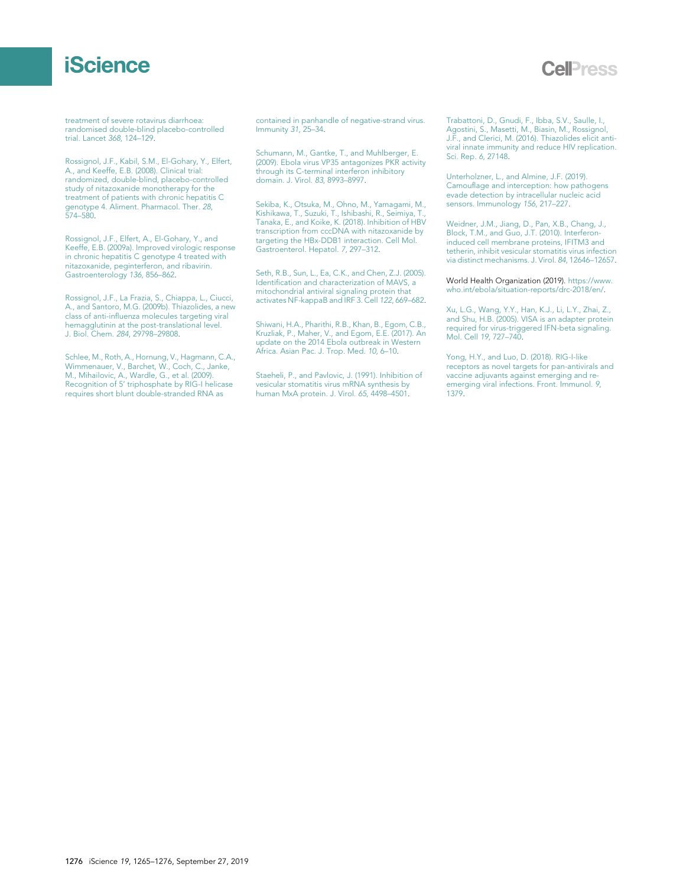### **Cell**<sup>ress</sup>

[treatment of severe rotavirus diarrhoea:](http://refhub.elsevier.com/S2589-0042(19)30228-7/sref54) [randomised double-blind placebo-controlled](http://refhub.elsevier.com/S2589-0042(19)30228-7/sref54) [trial. Lancet](http://refhub.elsevier.com/S2589-0042(19)30228-7/sref54) 368, 124–129.

<span id="page-12-5"></span>[Rossignol, J.F., Kabil, S.M., El-Gohary, Y., Elfert,](http://refhub.elsevier.com/S2589-0042(19)30228-7/sref55) [A., and Keeffe, E.B. \(2008\). Clinical trial:](http://refhub.elsevier.com/S2589-0042(19)30228-7/sref55) [randomized, double-blind, placebo-controlled](http://refhub.elsevier.com/S2589-0042(19)30228-7/sref55) [study of nitazoxanide monotherapy for the](http://refhub.elsevier.com/S2589-0042(19)30228-7/sref55) [treatment of patients with chronic hepatitis C](http://refhub.elsevier.com/S2589-0042(19)30228-7/sref55) [genotype 4. Aliment. Pharmacol. Ther.](http://refhub.elsevier.com/S2589-0042(19)30228-7/sref55) 28, [574–580.](http://refhub.elsevier.com/S2589-0042(19)30228-7/sref55)

[Rossignol, J.F., Elfert, A., El-Gohary, Y., and](http://refhub.elsevier.com/S2589-0042(19)30228-7/sref56) [Keeffe, E.B. \(2009a\). Improved virologic response](http://refhub.elsevier.com/S2589-0042(19)30228-7/sref56) [in chronic hepatitis C genotype 4 treated with](http://refhub.elsevier.com/S2589-0042(19)30228-7/sref56) [nitazoxanide, peginterferon, and ribavirin.](http://refhub.elsevier.com/S2589-0042(19)30228-7/sref56) [Gastroenterology](http://refhub.elsevier.com/S2589-0042(19)30228-7/sref56) 136, 856–862.

[Rossignol, J.F., La Frazia, S., Chiappa, L., Ciucci,](http://refhub.elsevier.com/S2589-0042(19)30228-7/sref57) [A., and Santoro, M.G. \(2009b\). Thiazolides, a new](http://refhub.elsevier.com/S2589-0042(19)30228-7/sref57) [class of anti-influenza molecules targeting viral](http://refhub.elsevier.com/S2589-0042(19)30228-7/sref57) [hemagglutinin at the post-translational level.](http://refhub.elsevier.com/S2589-0042(19)30228-7/sref57) J. Biol. Chem. 284[, 29798–29808](http://refhub.elsevier.com/S2589-0042(19)30228-7/sref57).

[Schlee, M., Roth, A., Hornung, V., Hagmann, C.A.,](http://refhub.elsevier.com/S2589-0042(19)30228-7/sref58) [Wimmenauer, V., Barchet, W., Coch, C., Janke,](http://refhub.elsevier.com/S2589-0042(19)30228-7/sref58) [M., Mihailovic, A., Wardle, G., et al. \(2009\).](http://refhub.elsevier.com/S2589-0042(19)30228-7/sref58) [Recognition of 5' triphosphate by RIG-I helicase](http://refhub.elsevier.com/S2589-0042(19)30228-7/sref58) [requires short blunt double-stranded RNA as](http://refhub.elsevier.com/S2589-0042(19)30228-7/sref58)

[contained in panhandle of negative-strand virus.](http://refhub.elsevier.com/S2589-0042(19)30228-7/sref58) [Immunity](http://refhub.elsevier.com/S2589-0042(19)30228-7/sref58) 31, 25–34.

[Schumann, M., Gantke, T., and Muhlberger, E.](http://refhub.elsevier.com/S2589-0042(19)30228-7/sref59) [\(2009\). Ebola virus VP35 antagonizes PKR activity](http://refhub.elsevier.com/S2589-0042(19)30228-7/sref59) [through its C-terminal interferon inhibitory](http://refhub.elsevier.com/S2589-0042(19)30228-7/sref59) [domain. J. Virol.](http://refhub.elsevier.com/S2589-0042(19)30228-7/sref59) 83, 8993–8997.

[Sekiba, K., Otsuka, M., Ohno, M., Yamagami, M.,](http://refhub.elsevier.com/S2589-0042(19)30228-7/sref60) [Kishikawa, T., Suzuki, T., Ishibashi, R., Seimiya, T.,](http://refhub.elsevier.com/S2589-0042(19)30228-7/sref60) [Tanaka, E., and Koike, K. \(2018\). Inhibition of HBV](http://refhub.elsevier.com/S2589-0042(19)30228-7/sref60) [transcription from cccDNA with nitazoxanide by](http://refhub.elsevier.com/S2589-0042(19)30228-7/sref60) [targeting the HBx-DDB1 interaction. Cell Mol.](http://refhub.elsevier.com/S2589-0042(19)30228-7/sref60) [Gastroenterol. Hepatol.](http://refhub.elsevier.com/S2589-0042(19)30228-7/sref60) 7, 297–312.

[Seth, R.B., Sun, L., Ea, C.K., and Chen, Z.J. \(2005\).](http://refhub.elsevier.com/S2589-0042(19)30228-7/sref61) [Identification and characterization of MAVS, a](http://refhub.elsevier.com/S2589-0042(19)30228-7/sref61) [mitochondrial antiviral signaling protein that](http://refhub.elsevier.com/S2589-0042(19)30228-7/sref61) [activates NF-kappaB and IRF 3. Cell](http://refhub.elsevier.com/S2589-0042(19)30228-7/sref61) 122, 669–682.

<span id="page-12-2"></span><span id="page-12-1"></span>[Shiwani, H.A., Pharithi, R.B., Khan, B., Egom, C.B.,](http://refhub.elsevier.com/S2589-0042(19)30228-7/sref62) [Kruzliak, P., Maher, V., and Egom, E.E. \(2017\). An](http://refhub.elsevier.com/S2589-0042(19)30228-7/sref62) [update on the 2014 Ebola outbreak in Western](http://refhub.elsevier.com/S2589-0042(19)30228-7/sref62) [Africa. Asian Pac. J. Trop. Med.](http://refhub.elsevier.com/S2589-0042(19)30228-7/sref62) 10, 6–10.

[Staeheli, P., and Pavlovic, J. \(1991\). Inhibition of](http://refhub.elsevier.com/S2589-0042(19)30228-7/sref63) [vesicular stomatitis virus mRNA synthesis by](http://refhub.elsevier.com/S2589-0042(19)30228-7/sref63) [human MxA protein. J. Virol.](http://refhub.elsevier.com/S2589-0042(19)30228-7/sref63) 65, 4498–4501.

<span id="page-12-3"></span>[Trabattoni, D., Gnudi, F., Ibba, S.V., Saulle, I.,](http://refhub.elsevier.com/S2589-0042(19)30228-7/sref65) [Agostini, S., Masetti, M., Biasin, M., Rossignol,](http://refhub.elsevier.com/S2589-0042(19)30228-7/sref65) [J.F., and Clerici, M. \(2016\). Thiazolides elicit anti](http://refhub.elsevier.com/S2589-0042(19)30228-7/sref65)[viral innate immunity and reduce HIV replication.](http://refhub.elsevier.com/S2589-0042(19)30228-7/sref65) [Sci. Rep.](http://refhub.elsevier.com/S2589-0042(19)30228-7/sref65) 6, 27148.

<span id="page-12-0"></span>[Unterholzner, L., and Almine, J.F. \(2019\).](http://refhub.elsevier.com/S2589-0042(19)30228-7/sref66) [Camouflage and interception: how pathogens](http://refhub.elsevier.com/S2589-0042(19)30228-7/sref66) [evade detection by intracellular nucleic acid](http://refhub.elsevier.com/S2589-0042(19)30228-7/sref66) [sensors. Immunology](http://refhub.elsevier.com/S2589-0042(19)30228-7/sref66) 156, 217–227.

[Weidner, J.M., Jiang, D., Pan, X.B., Chang, J.,](http://refhub.elsevier.com/S2589-0042(19)30228-7/sref67) [Block, T.M., and Guo, J.T. \(2010\). Interferon](http://refhub.elsevier.com/S2589-0042(19)30228-7/sref67)[induced cell membrane proteins, IFITM3 and](http://refhub.elsevier.com/S2589-0042(19)30228-7/sref67) [tetherin, inhibit vesicular stomatitis virus infection](http://refhub.elsevier.com/S2589-0042(19)30228-7/sref67) [via distinct mechanisms. J. Virol.](http://refhub.elsevier.com/S2589-0042(19)30228-7/sref67) 84, 12646–12657.

World Health Organization (2019). [https://www.](https://www.who.int/ebola/situation-reports/drc-2018/en/) [who.int/ebola/situation-reports/drc-2018/en/](https://www.who.int/ebola/situation-reports/drc-2018/en/).

[Xu, L.G., Wang, Y.Y., Han, K.J., Li, L.Y., Zhai, Z.,](http://refhub.elsevier.com/S2589-0042(19)30228-7/sref70) [and Shu, H.B. \(2005\). VISA is an adapter protein](http://refhub.elsevier.com/S2589-0042(19)30228-7/sref70) [required for virus-triggered IFN-beta signaling.](http://refhub.elsevier.com/S2589-0042(19)30228-7/sref70) Mol. Cell 19[, 727–740.](http://refhub.elsevier.com/S2589-0042(19)30228-7/sref70)

<span id="page-12-4"></span>[Yong, H.Y., and Luo, D. \(2018\). RIG-I-like](http://refhub.elsevier.com/S2589-0042(19)30228-7/sref71) [receptors as novel targets for pan-antivirals and](http://refhub.elsevier.com/S2589-0042(19)30228-7/sref71) [vaccine adjuvants against emerging and re](http://refhub.elsevier.com/S2589-0042(19)30228-7/sref71)[emerging viral infections. Front. Immunol.](http://refhub.elsevier.com/S2589-0042(19)30228-7/sref71) 9, [1379.](http://refhub.elsevier.com/S2589-0042(19)30228-7/sref71)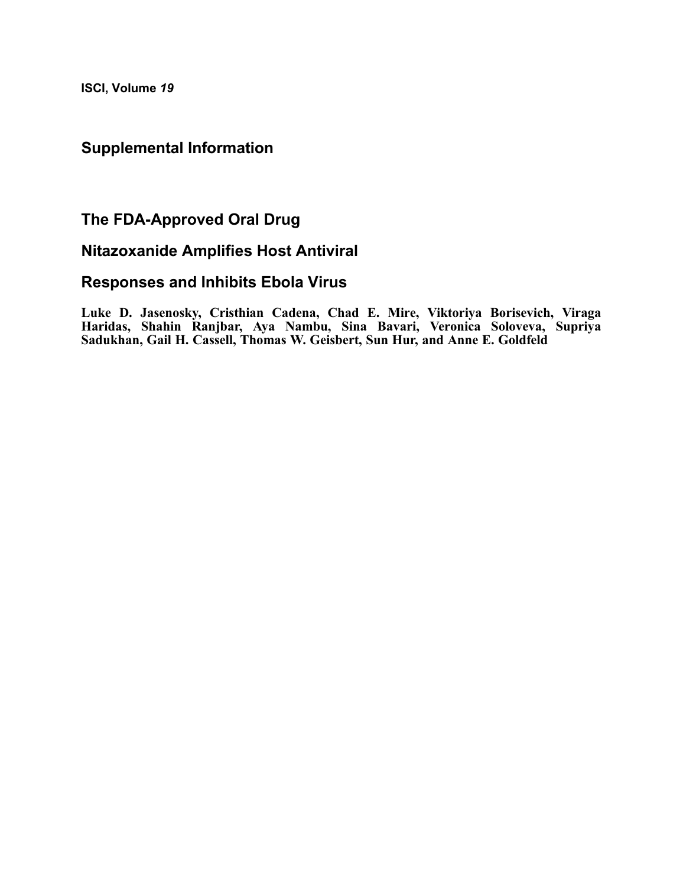ISCI, Volume 19

### Supplemental Information

### The FDA-Approved Oral Drug

### Nitazoxanide Amplifies Host Antiviral

### Responses and Inhibits Ebola Virus

Luke D. Jasenosky, Cristhian Cadena, Chad E. Mire, Viktoriya Borisevich, Viraga Haridas, Shahin Ranjbar, Aya Nambu, Sina Bavari, Veronica Soloveva, Supriya Sadukhan, Gail H. Cassell, Thomas W. Geisbert, Sun Hur, and Anne E. Goldfeld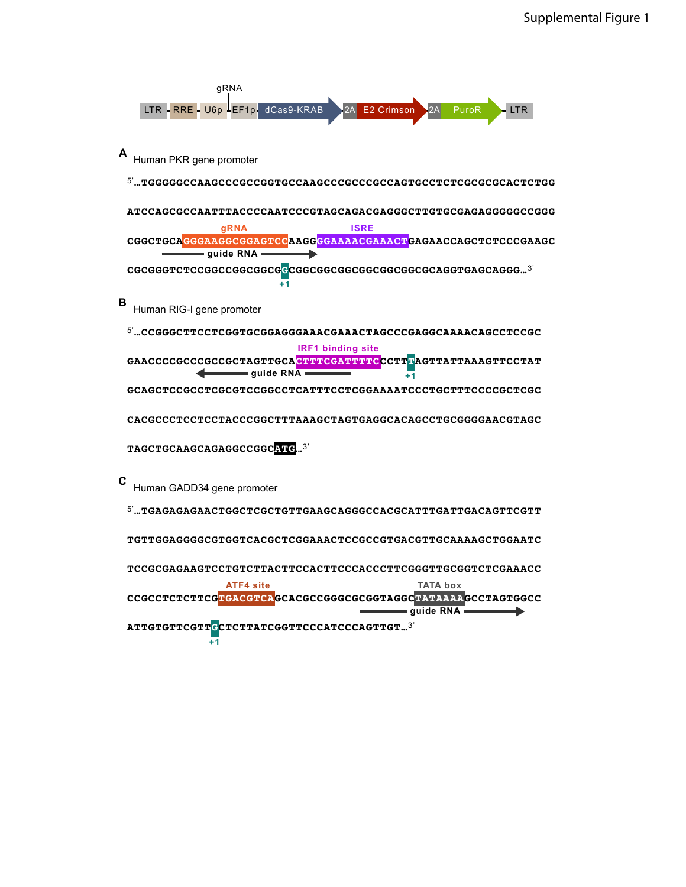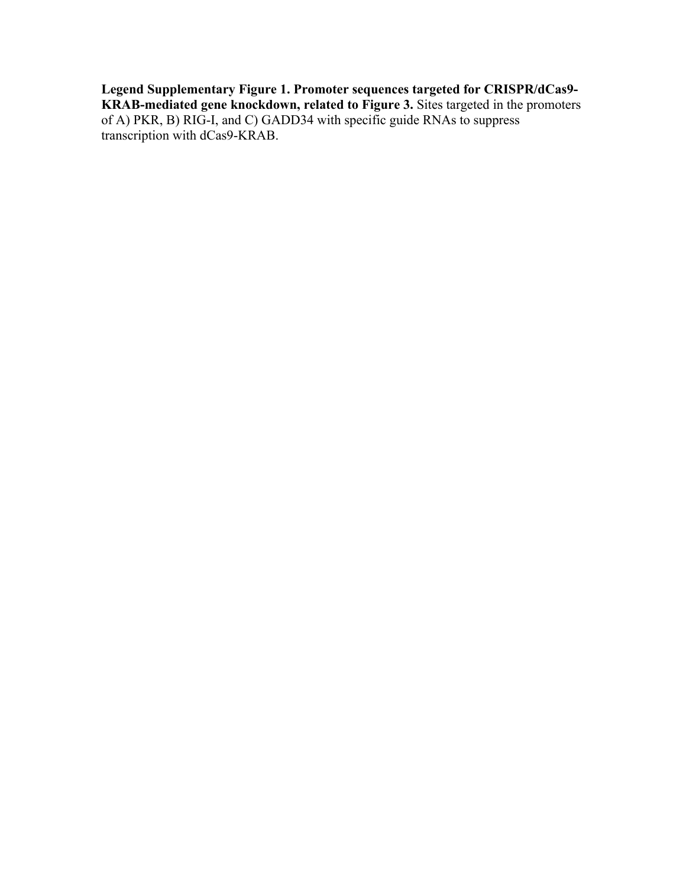**Legend Supplementary Figure 1. Promoter sequences targeted for CRISPR/dCas9- KRAB-mediated gene knockdown, related to Figure 3.** Sites targeted in the promoters of A) PKR, B) RIG-I, and C) GADD34 with specific guide RNAs to suppress transcription with dCas9-KRAB.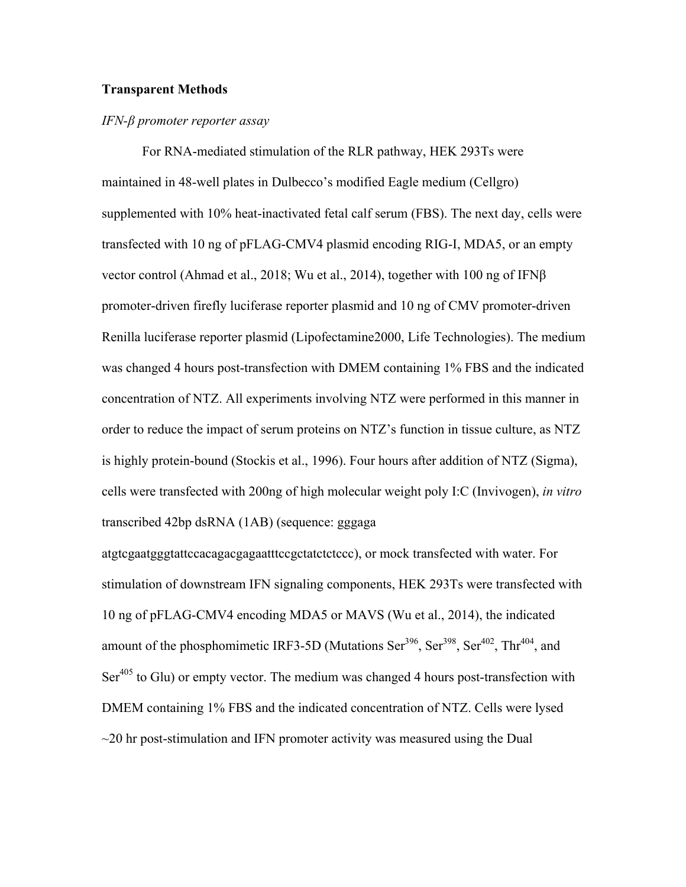#### **Transparent Methods**

#### *IFN-β promoter reporter assay*

For RNA-mediated stimulation of the RLR pathway, HEK 293Ts were maintained in 48-well plates in Dulbecco's modified Eagle medium (Cellgro) supplemented with 10% heat-inactivated fetal calf serum (FBS). The next day, cells were transfected with 10 ng of pFLAG-CMV4 plasmid encoding RIG-I, MDA5, or an empty vector control (Ahmad et al., 2018; Wu et al., 2014), together with 100 ng of IFNβ promoter-driven firefly luciferase reporter plasmid and 10 ng of CMV promoter-driven Renilla luciferase reporter plasmid (Lipofectamine2000, Life Technologies). The medium was changed 4 hours post-transfection with DMEM containing 1% FBS and the indicated concentration of NTZ. All experiments involving NTZ were performed in this manner in order to reduce the impact of serum proteins on NTZ's function in tissue culture, as NTZ is highly protein-bound (Stockis et al., 1996). Four hours after addition of NTZ (Sigma), cells were transfected with 200ng of high molecular weight poly I:C (Invivogen), *in vitro* transcribed 42bp dsRNA (1AB) (sequence: gggaga

atgtcgaatgggtattccacagacgagaatttccgctatctctccc), or mock transfected with water. For stimulation of downstream IFN signaling components, HEK 293Ts were transfected with 10 ng of pFLAG-CMV4 encoding MDA5 or MAVS (Wu et al., 2014), the indicated amount of the phosphomimetic IRF3-5D (Mutations Ser<sup>396</sup>, Ser<sup>398</sup>, Ser<sup>402</sup>, Thr<sup>404</sup>, and Ser<sup>405</sup> to Glu) or empty vector. The medium was changed 4 hours post-transfection with DMEM containing 1% FBS and the indicated concentration of NTZ. Cells were lysed  $\sim$ 20 hr post-stimulation and IFN promoter activity was measured using the Dual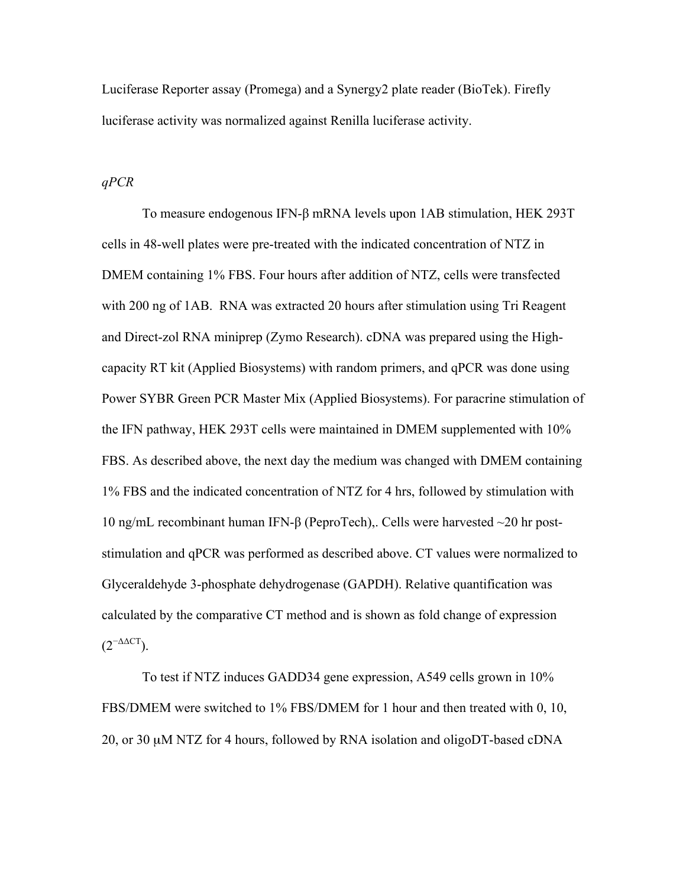Luciferase Reporter assay (Promega) and a Synergy2 plate reader (BioTek). Firefly luciferase activity was normalized against Renilla luciferase activity.

*qPCR*

To measure endogenous IFN-β mRNA levels upon 1AB stimulation, HEK 293T cells in 48-well plates were pre-treated with the indicated concentration of NTZ in DMEM containing 1% FBS. Four hours after addition of NTZ, cells were transfected with 200 ng of 1AB. RNA was extracted 20 hours after stimulation using Tri Reagent and Direct-zol RNA miniprep (Zymo Research). cDNA was prepared using the Highcapacity RT kit (Applied Biosystems) with random primers, and qPCR was done using Power SYBR Green PCR Master Mix (Applied Biosystems). For paracrine stimulation of the IFN pathway, HEK 293T cells were maintained in DMEM supplemented with 10% FBS. As described above, the next day the medium was changed with DMEM containing 1% FBS and the indicated concentration of NTZ for 4 hrs, followed by stimulation with 10 ng/mL recombinant human IFN-β (PeproTech),. Cells were harvested ~20 hr poststimulation and qPCR was performed as described above. CT values were normalized to Glyceraldehyde 3-phosphate dehydrogenase (GAPDH). Relative quantification was calculated by the comparative CT method and is shown as fold change of expression  $(2^{-\Delta \Delta CT})$ .

To test if NTZ induces GADD34 gene expression, A549 cells grown in 10% FBS/DMEM were switched to 1% FBS/DMEM for 1 hour and then treated with 0, 10, 20, or 30 µM NTZ for 4 hours, followed by RNA isolation and oligoDT-based cDNA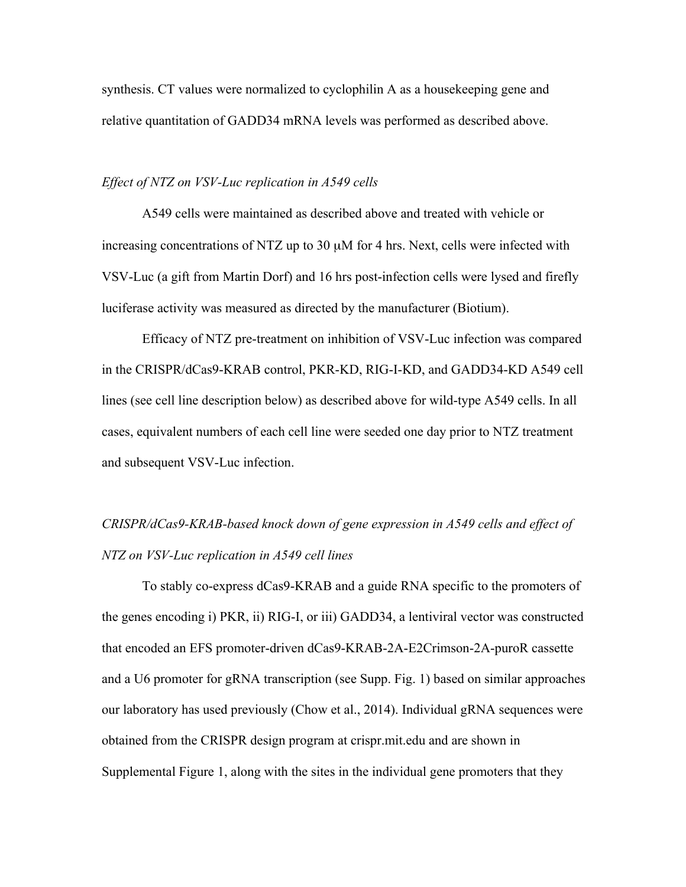synthesis. CT values were normalized to cyclophilin A as a housekeeping gene and relative quantitation of GADD34 mRNA levels was performed as described above.

#### *Effect of NTZ on VSV-Luc replication in A549 cells*

A549 cells were maintained as described above and treated with vehicle or increasing concentrations of NTZ up to 30 µM for 4 hrs. Next, cells were infected with VSV-Luc (a gift from Martin Dorf) and 16 hrs post-infection cells were lysed and firefly luciferase activity was measured as directed by the manufacturer (Biotium).

Efficacy of NTZ pre-treatment on inhibition of VSV-Luc infection was compared in the CRISPR/dCas9-KRAB control, PKR-KD, RIG-I-KD, and GADD34-KD A549 cell lines (see cell line description below) as described above for wild-type A549 cells. In all cases, equivalent numbers of each cell line were seeded one day prior to NTZ treatment and subsequent VSV-Luc infection.

## *CRISPR/dCas9-KRAB-based knock down of gene expression in A549 cells and effect of NTZ on VSV-Luc replication in A549 cell lines*

To stably co-express dCas9-KRAB and a guide RNA specific to the promoters of the genes encoding i) PKR, ii) RIG-I, or iii) GADD34, a lentiviral vector was constructed that encoded an EFS promoter-driven dCas9-KRAB-2A-E2Crimson-2A-puroR cassette and a U6 promoter for gRNA transcription (see Supp. Fig. 1) based on similar approaches our laboratory has used previously (Chow et al., 2014). Individual gRNA sequences were obtained from the CRISPR design program at crispr.mit.edu and are shown in Supplemental Figure 1, along with the sites in the individual gene promoters that they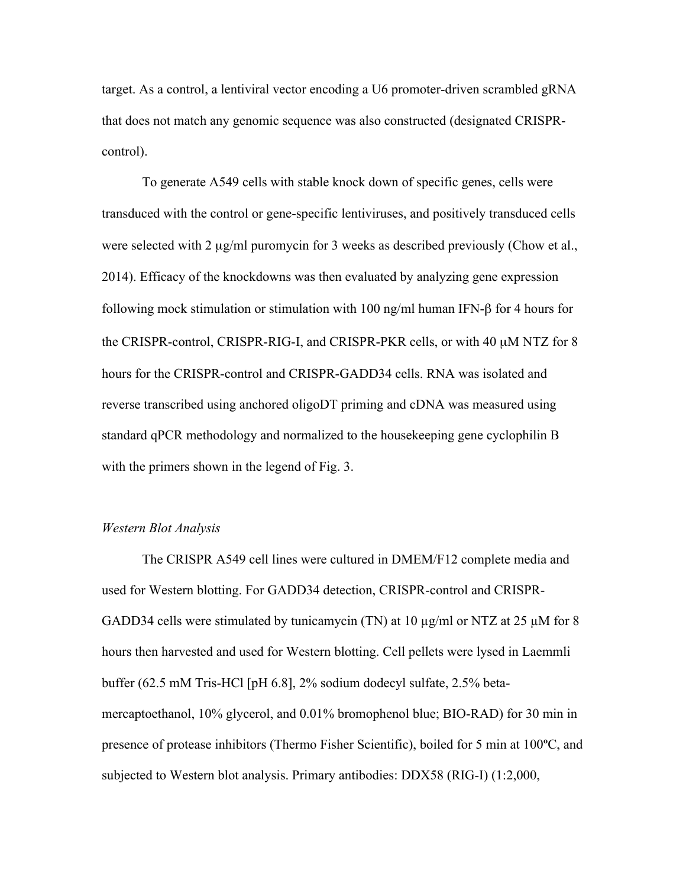target. As a control, a lentiviral vector encoding a U6 promoter-driven scrambled gRNA that does not match any genomic sequence was also constructed (designated CRISPRcontrol).

To generate A549 cells with stable knock down of specific genes, cells were transduced with the control or gene-specific lentiviruses, and positively transduced cells were selected with 2 µg/ml puromycin for 3 weeks as described previously (Chow et al., 2014). Efficacy of the knockdowns was then evaluated by analyzing gene expression following mock stimulation or stimulation with 100 ng/ml human IFN-β for 4 hours for the CRISPR-control, CRISPR-RIG-I, and CRISPR-PKR cells, or with 40 µM NTZ for 8 hours for the CRISPR-control and CRISPR-GADD34 cells. RNA was isolated and reverse transcribed using anchored oligoDT priming and cDNA was measured using standard qPCR methodology and normalized to the housekeeping gene cyclophilin B with the primers shown in the legend of Fig. 3.

#### *Western Blot Analysis*

The CRISPR A549 cell lines were cultured in DMEM/F12 complete media and used for Western blotting. For GADD34 detection, CRISPR-control and CRISPR-GADD34 cells were stimulated by tunicamycin (TN) at 10  $\mu$ g/ml or NTZ at 25  $\mu$ M for 8 hours then harvested and used for Western blotting. Cell pellets were lysed in Laemmli buffer (62.5 mM Tris-HCl [pH 6.8], 2% sodium dodecyl sulfate, 2.5% betamercaptoethanol, 10% glycerol, and 0.01% bromophenol blue; BIO-RAD) for 30 min in presence of protease inhibitors (Thermo Fisher Scientific), boiled for 5 min at 100**º**C, and subjected to Western blot analysis. Primary antibodies: DDX58 (RIG-I) (1:2,000,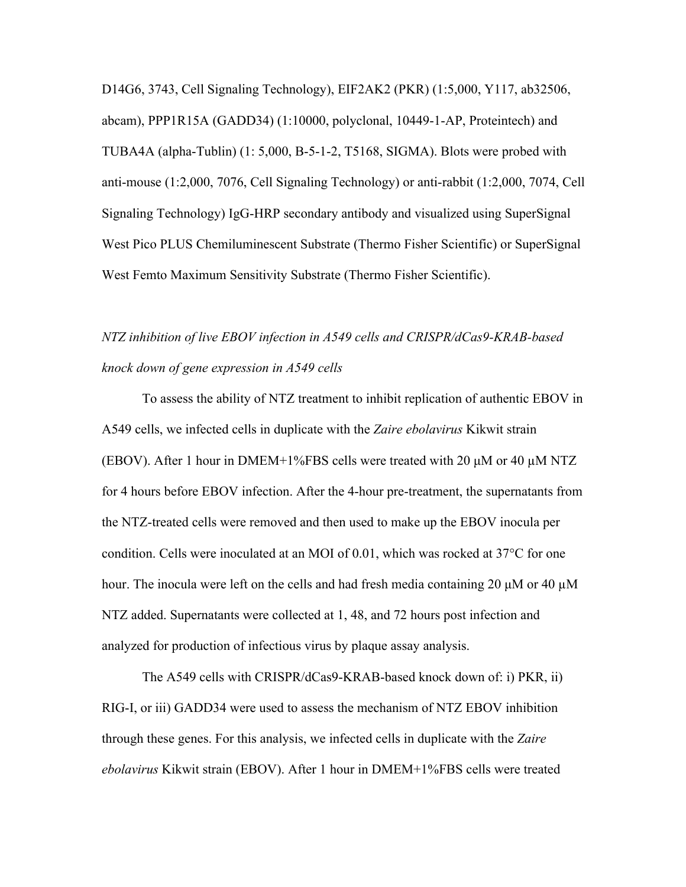D14G6, 3743, Cell Signaling Technology), EIF2AK2 (PKR) (1:5,000, Y117, ab32506, abcam), PPP1R15A (GADD34) (1:10000, polyclonal, 10449-1-AP, Proteintech) and TUBA4A (alpha-Tublin) (1: 5,000, B-5-1-2, T5168, SIGMA). Blots were probed with anti-mouse (1:2,000, 7076, Cell Signaling Technology) or anti-rabbit (1:2,000, 7074, Cell Signaling Technology) IgG-HRP secondary antibody and visualized using SuperSignal West Pico PLUS Chemiluminescent Substrate (Thermo Fisher Scientific) or SuperSignal West Femto Maximum Sensitivity Substrate (Thermo Fisher Scientific).

## *NTZ inhibition of live EBOV infection in A549 cells and CRISPR/dCas9-KRAB-based knock down of gene expression in A549 cells*

To assess the ability of NTZ treatment to inhibit replication of authentic EBOV in A549 cells, we infected cells in duplicate with the *Zaire ebolavirus* Kikwit strain (EBOV). After 1 hour in DMEM+1%FBS cells were treated with 20 µM or 40 µM NTZ for 4 hours before EBOV infection. After the 4-hour pre-treatment, the supernatants from the NTZ-treated cells were removed and then used to make up the EBOV inocula per condition. Cells were inoculated at an MOI of 0.01, which was rocked at 37°C for one hour. The inocula were left on the cells and had fresh media containing 20  $\mu$ M or 40  $\mu$ M NTZ added. Supernatants were collected at 1, 48, and 72 hours post infection and analyzed for production of infectious virus by plaque assay analysis.

The A549 cells with CRISPR/dCas9-KRAB-based knock down of: i) PKR, ii) RIG-I, or iii) GADD34 were used to assess the mechanism of NTZ EBOV inhibition through these genes. For this analysis, we infected cells in duplicate with the *Zaire ebolavirus* Kikwit strain (EBOV). After 1 hour in DMEM+1%FBS cells were treated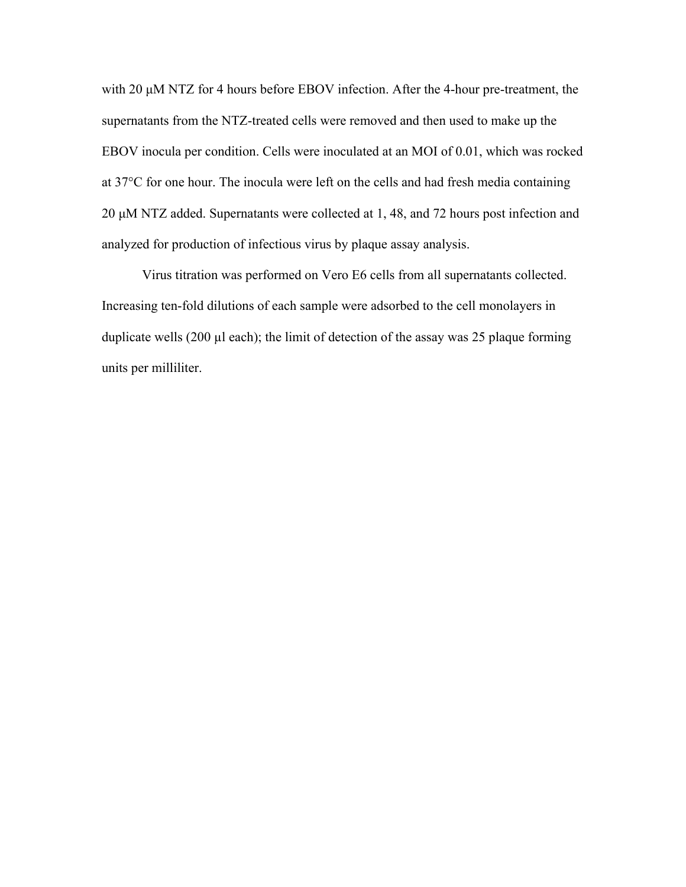with 20  $\mu$ M NTZ for 4 hours before EBOV infection. After the 4-hour pre-treatment, the supernatants from the NTZ-treated cells were removed and then used to make up the EBOV inocula per condition. Cells were inoculated at an MOI of 0.01, which was rocked at 37°C for one hour. The inocula were left on the cells and had fresh media containing 20 µM NTZ added. Supernatants were collected at 1, 48, and 72 hours post infection and analyzed for production of infectious virus by plaque assay analysis.

Virus titration was performed on Vero E6 cells from all supernatants collected. Increasing ten-fold dilutions of each sample were adsorbed to the cell monolayers in duplicate wells (200 µl each); the limit of detection of the assay was 25 plaque forming units per milliliter.